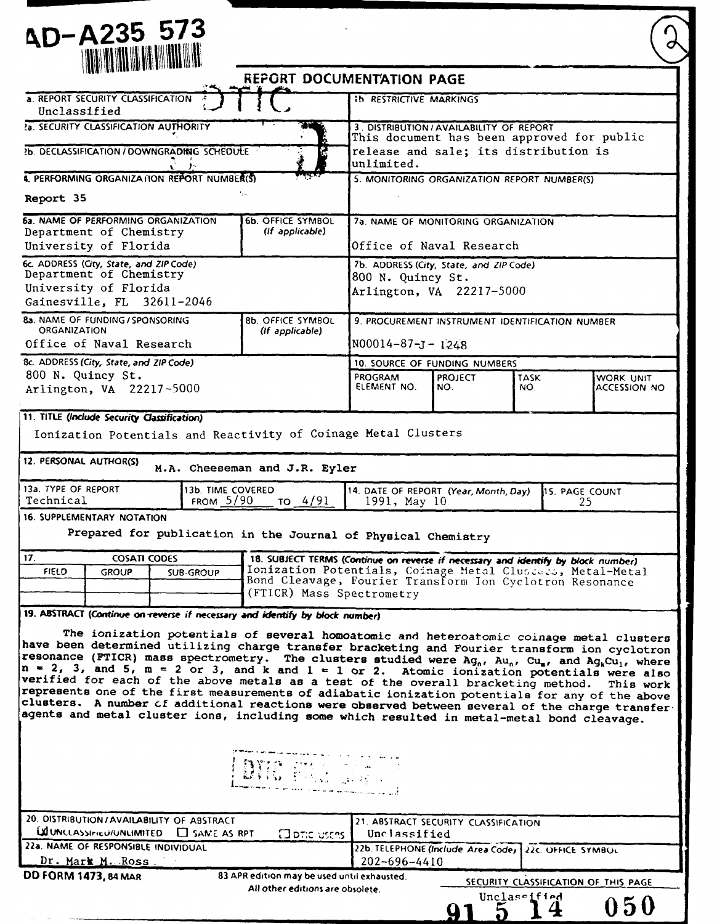# **ND-A235 573**

|                                                                                                                                                                                                                                                                                                                     | <b>REPORT DOCUMENTATION PAGE</b>                                                                                       |  |  |  |  |
|---------------------------------------------------------------------------------------------------------------------------------------------------------------------------------------------------------------------------------------------------------------------------------------------------------------------|------------------------------------------------------------------------------------------------------------------------|--|--|--|--|
| a. REPORT SECURITY CLASSIFICATION<br>Unclassified                                                                                                                                                                                                                                                                   | <b>Ib RESTRICTIVE MARKINGS</b>                                                                                         |  |  |  |  |
| 2a. SECURITY CLASSIFICATION AUTHORITY                                                                                                                                                                                                                                                                               | 3. DISTRIBUTION / AVAILABILITY OF REPORT<br>This document has been approved for public                                 |  |  |  |  |
| 2b. DECLASSIFICATION / DOWNGRADING SCHEDULE                                                                                                                                                                                                                                                                         | release and sale; its distribution is                                                                                  |  |  |  |  |
| 4. PERFORMING ORGANIZATION REPORT NUMBER(S)                                                                                                                                                                                                                                                                         | unlimited.<br>5. MONITORING ORGANIZATION REPORT NUMBER(S)                                                              |  |  |  |  |
| $V_{\rm gas}$ .<br>Report 35                                                                                                                                                                                                                                                                                        |                                                                                                                        |  |  |  |  |
| <b>6a. NAME OF PERFORMING ORGANIZATION</b><br><b>6b. OFFICE SYMBOL</b><br>(If applicable)<br>Department of Chemistry                                                                                                                                                                                                | 7a. NAME OF MONITORING ORGANIZATION                                                                                    |  |  |  |  |
| University of Florida                                                                                                                                                                                                                                                                                               | Office of Naval Research                                                                                               |  |  |  |  |
| 6c. ADDRESS (City, State, and ZIP Code)<br>Department of Chemistry                                                                                                                                                                                                                                                  | 7b. ADDRESS (City, State, and ZIP Code)<br>800 N. Quincy St.                                                           |  |  |  |  |
| University of Florida<br>Gainesville, FL 32611-2046                                                                                                                                                                                                                                                                 | Arlington, VA 22217-5000                                                                                               |  |  |  |  |
| 8a. NAME OF FUNDING / SPONSORING<br><b>8b. OFFICE SYMBOL</b><br><b>ORGANIZATION</b><br>(If applicable)                                                                                                                                                                                                              | 9. PROCUREMENT INSTRUMENT IDENTIFICATION NUMBER                                                                        |  |  |  |  |
| Office of Naval Research                                                                                                                                                                                                                                                                                            | $N00014 - 87 - J - 1248$                                                                                               |  |  |  |  |
| 8c. ADDRESS (City, State, and ZIP Code)                                                                                                                                                                                                                                                                             | 10. SOURCE OF FUNDING NUMBERS                                                                                          |  |  |  |  |
| 800 N. Quincy St.<br>Arlington, VA 22217-5000                                                                                                                                                                                                                                                                       | PROGRAM<br><b>PROJECT</b><br>TASK<br>WORK UNIT<br>ELEMENT NO.<br>NO.<br>NO.<br>ACCESSION NO                            |  |  |  |  |
| 11. TITLE (Include Security Classification)                                                                                                                                                                                                                                                                         |                                                                                                                        |  |  |  |  |
| Ionization Potentials and Reactivity of Coinage Metal Clusters                                                                                                                                                                                                                                                      |                                                                                                                        |  |  |  |  |
| 12. PERSONAL AUTHOR(S)                                                                                                                                                                                                                                                                                              |                                                                                                                        |  |  |  |  |
| M.A. Cheeseman and J.R. Eyler                                                                                                                                                                                                                                                                                       |                                                                                                                        |  |  |  |  |
| 13a. TYPE OF REPORT<br>13b. TIME COVERED<br>14. DATE OF REPORT (Year, Month, Day)<br>15. PAGE COUNT<br>Technical<br><b>FROM 5/90</b><br>TO $4/91$<br>1991, May 10<br>25                                                                                                                                             |                                                                                                                        |  |  |  |  |
| <b>16. SUPPLEMENTARY NOTATION</b>                                                                                                                                                                                                                                                                                   |                                                                                                                        |  |  |  |  |
| Prepared for publication in the Journal of Physical Chemistry                                                                                                                                                                                                                                                       |                                                                                                                        |  |  |  |  |
| 17 <sub>1</sub><br><b>COSATI CODES</b>                                                                                                                                                                                                                                                                              | 18. SUBJECT TERMS (Continue on reverse if necessary and identify by block number)                                      |  |  |  |  |
| <b>FIELD</b><br><b>GROUP</b><br><b>SUB-GROUP</b>                                                                                                                                                                                                                                                                    | Ionization Potentials, Coinage Metal Clusiers, Metal-Metal<br>Bond Cleavage, Fourier Transform Ion Cyclotron Resonance |  |  |  |  |
|                                                                                                                                                                                                                                                                                                                     | (FTICR) Mass Spectrometry                                                                                              |  |  |  |  |
| 19. ABSTRACT (Continue on reverse if necessary and identify by block number)                                                                                                                                                                                                                                        |                                                                                                                        |  |  |  |  |
| The ionization potentials of several homoatomic and heteroatomic coinage metal clusters                                                                                                                                                                                                                             |                                                                                                                        |  |  |  |  |
| have been determined utilizing charge transfer bracketing and Fourier transform ion cyclotron<br>resonance (FTICR) mass spectrometry. The clusters studied were $Ag_n$ , $Au_n$ , $Cu_n$ , and $Ag_kCu_1$ , where<br>$n = 2$ , 3, and 5, $m = 2$ or 3, and k and 1 = 1 or 2. Atomic ionization potentials were also |                                                                                                                        |  |  |  |  |
| verified for each of the above metals as a test of the overall bracketing method.                                                                                                                                                                                                                                   | This work                                                                                                              |  |  |  |  |
| represents one of the first measurements of adiabatic ionization potentials for any of the above<br>clusters. A number of additional reactions were observed between several of the charge transfer-                                                                                                                |                                                                                                                        |  |  |  |  |
|                                                                                                                                                                                                                                                                                                                     | agents and metal cluster ions, including some which resulted in metal-metal bond cleavage.                             |  |  |  |  |
|                                                                                                                                                                                                                                                                                                                     |                                                                                                                        |  |  |  |  |
|                                                                                                                                                                                                                                                                                                                     |                                                                                                                        |  |  |  |  |
| DVC Stad and C                                                                                                                                                                                                                                                                                                      |                                                                                                                        |  |  |  |  |
|                                                                                                                                                                                                                                                                                                                     |                                                                                                                        |  |  |  |  |
| 20. DISTRIBUTION / AVAILABILITY OF ABSTRACT                                                                                                                                                                                                                                                                         | 21. ABSTRACT SECURITY CLASSIFICATION                                                                                   |  |  |  |  |
| $\Omega$ UNCLASSIFIEU/UNLIMITED $\Box$ SAME AS RPT<br><b>Clotic users</b><br>22a. NAME OF RESPONSIBLE INDIVIDUAL                                                                                                                                                                                                    | Unclassified<br>22b. TELEPHONE (Include Area Code, 22c. OFFICE SYMBOL                                                  |  |  |  |  |
| <u> Dr. Mark M. Ross J</u>                                                                                                                                                                                                                                                                                          | $202 - 696 - 4410$                                                                                                     |  |  |  |  |
| <b>DD FORM 1473, 84 MAR</b><br>83 APR edition may be used until exhausted.                                                                                                                                                                                                                                          | SECURITY CLASSIFICATION OF THIS PAGE                                                                                   |  |  |  |  |
| All other editions are obsolete.                                                                                                                                                                                                                                                                                    | Unclassified                                                                                                           |  |  |  |  |
|                                                                                                                                                                                                                                                                                                                     | 050<br>Q1 5 14                                                                                                         |  |  |  |  |

l,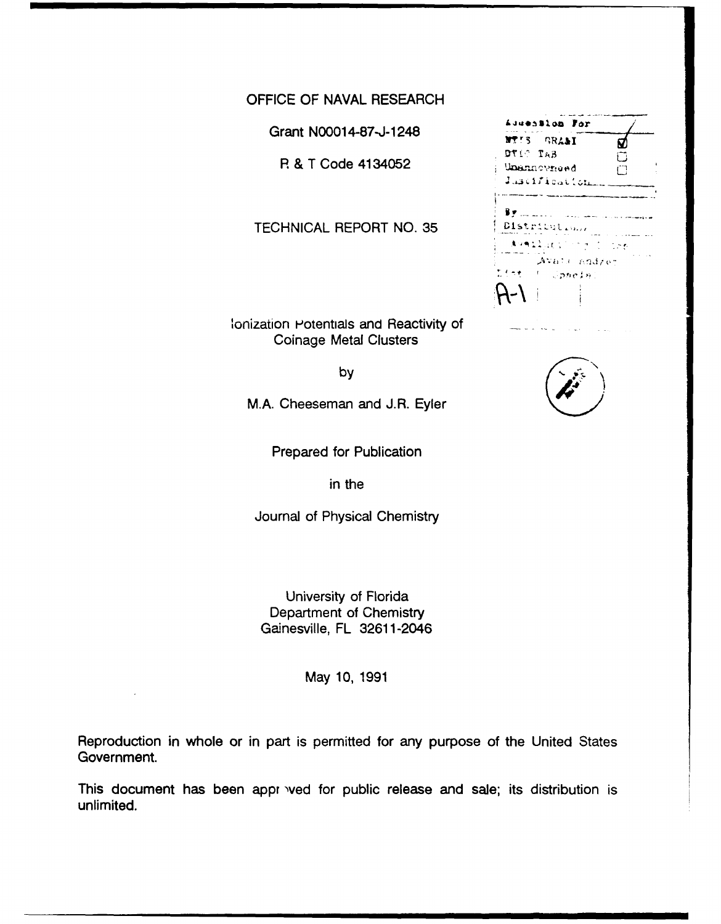OFFICE OF NAVAL RESEARCH

Grant N00014-87-J-1248 **614938108** For

**R & T Code 4134052 DT10 TAB** 

TECHNICAL REPORT NO. 35

lonization Potentials and Reactivity of Coinage Metal Clusters

by

\*\*\*\*\*.... The Course

Avair nod/et

By manner of the second second

Juscification

Distribution.

int i Conein

ជ

M.A. Cheeseman and J.R. Eyler

Prepared for Publication

in the

Journal of Physical Chemistry

University of Florida Department of Chemistry Gainesville, FL 32611-2046

May 10, 1991

Reproduction in whole or in part is permitted for any purpose of the United States Government.

This document has been appr ved for public release and sale; its distribution is unlimited.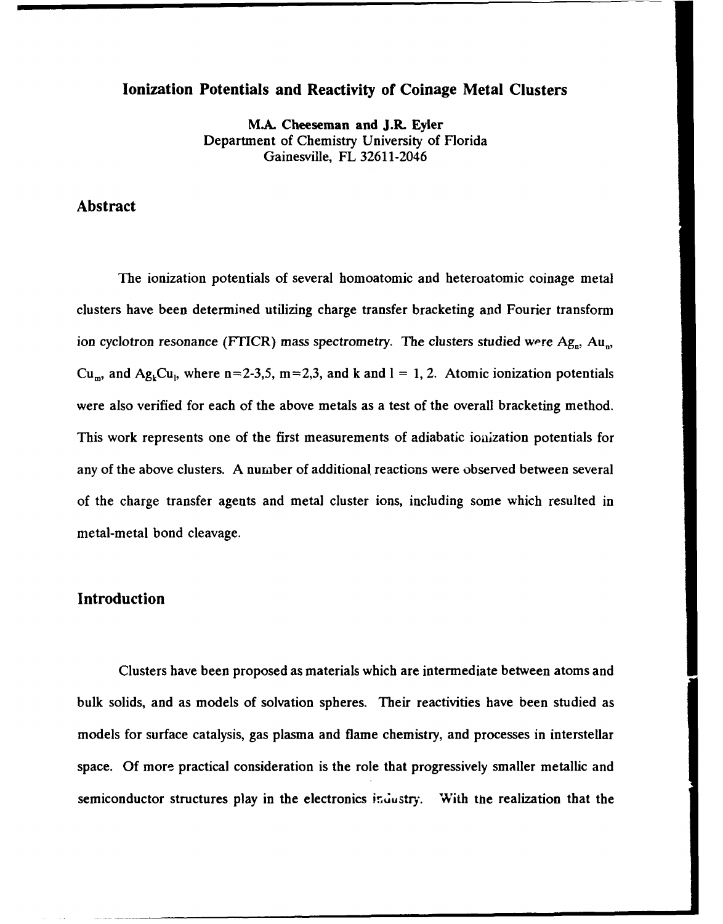#### Ionization Potentials and Reactivity of Coinage Metal Clusters

M.A. Cheeseman and J.R. Eyler Department of Chemistry University of Florida Gainesville, FL **32611-2046**

### Abstract

The ionization potentials of several homoatomic and heteroatomic coinage metal clusters have been determined utilizing charge transfer bracketing and Fourier transform ion cyclotron resonance (FTICR) mass spectrometry. The clusters studied were Ag<sub>n</sub>, Au<sub>n</sub>,  $Cu<sub>m</sub>$ , and  $Ag<sub>k</sub>Cu<sub>1</sub>$ , where n=2-3,5, m=2,3, and **k** and  $1 = 1, 2$ . Atomic ionization potentials were also verified for each of the above metals as a test of the overall bracketing method. This work represents one of the first measurements of adiabatic ionization potentials for any of the above clusters. **A** number of additional reactions were observed between several of the charge transfer agents and metal cluster ions, including some which resulted in metal-metal bond cleavage.

#### Introduction

Clusters have been proposed as materials which are intermediate between atoms and bulk solids, and as models of solvation spheres. Their reactivities have been studied as models for surface catalysis, gas plasma and flame chemistry, and processes in interstellar space. **Of** more practical consideration is the role that progressively smaller metallic and semiconductor structures play in the electronics inuustry. With **the** realization that the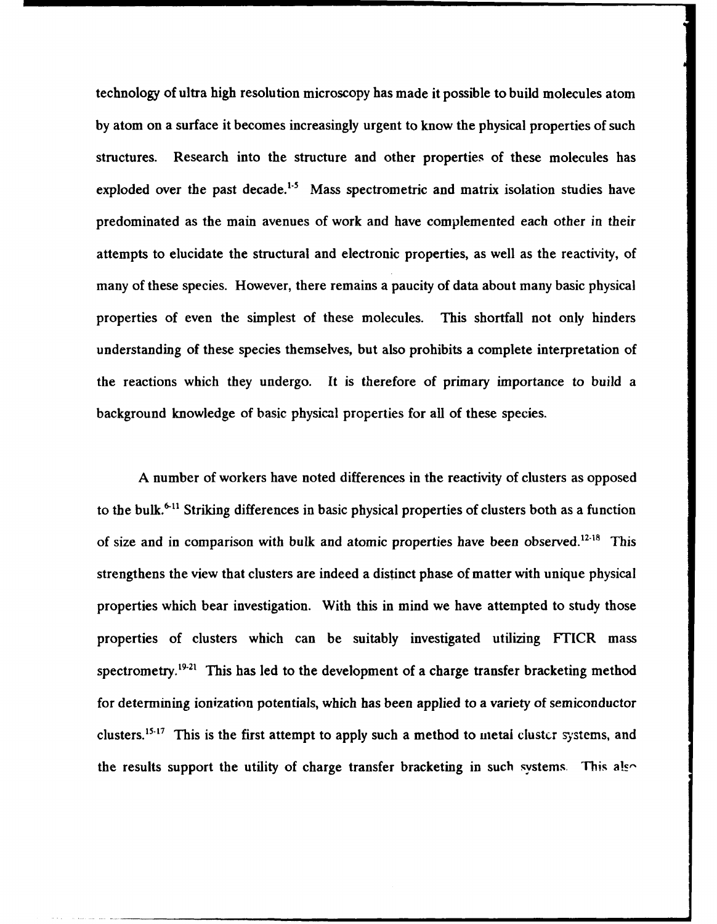technology of ultra high resolution microscopy has made it possible to build molecules atom **by** atom on a surface it becomes increasingly urgent to know the physical properties of such structures. Research into the structure and other properties of these molecules has exploded over the past decade.<sup>1-5</sup> Mass spectrometric and matrix isolation studies have predominated as the main avenues of work and have complemented each other in their attempts to elucidate the structural and electronic properties, as well as the reactivity, **of** many of these species. However, there remains a paucity of data about many basic physical properties of even the simplest of these molecules. This shortfall not only hinders understanding of these species themselves, but also prohibits a complete interpretation of the reactions which they undergo. It is therefore of primary importance to build a background knowledge of basic physical properties for all of these species.

**A** number of workers have noted differences in the reactivity of clusters as opposed to the bulk.<sup>6-11</sup> Striking differences in basic physical properties of clusters both as a function of size and in comparison with bulk and atomic properties have been observed.<sup>12-18</sup> This strengthens the view that clusters are indeed a distinct phase of matter with unique physical properties which bear investigation. With this in mind we have attempted to study those properties of clusters which can be suitably investigated utilizing FTICR mass spectrometry.<sup>19-21</sup> This has led to the development of a charge transfer bracketing method for determining ionization potentials, which has been applied to a variety of semiconductor clusters.<sup>15-17</sup> This is the first attempt to apply such a method to metal cluster systems, and the results support the utility of charge transfer bracketing in such systems. This also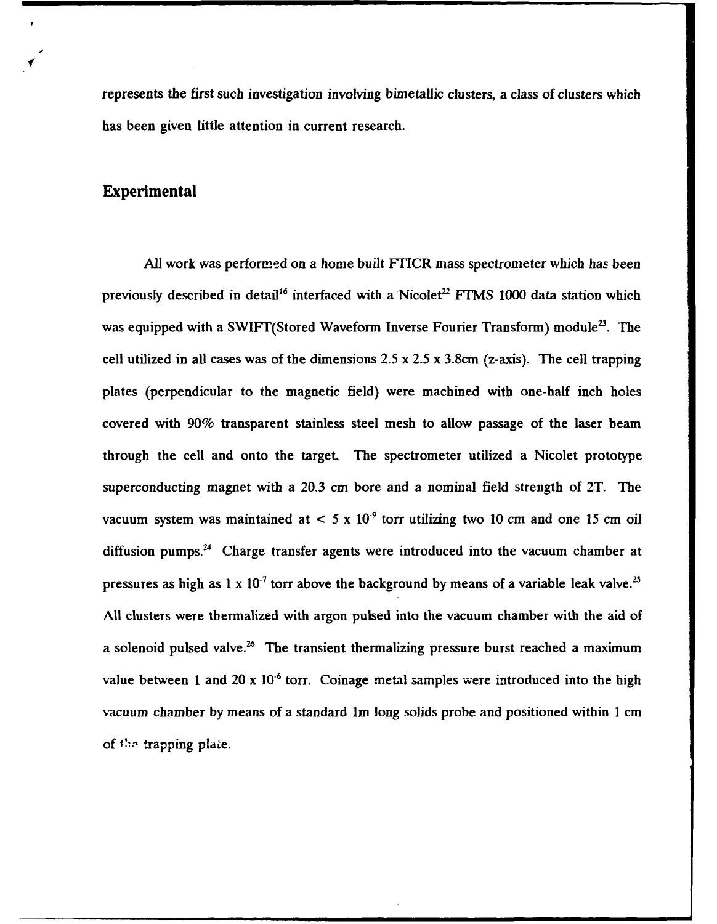represents the first such investigation involving bimetallic clusters, a class of clusters which has been given little attention in current research.

### Experimental

**All** work was performed on a home built FTICR mass spectrometer which has been previously described in detail<sup>16</sup> interfaced with a Nicolet<sup>22</sup> FTMS 1000 data station which was equipped with a SWIFT(Stored Waveform Inverse Fourier Transform) module<sup>23</sup>. The cell utilized in all cases was of the dimensions 2.5 x **2.5** x 3.8cm (z-axis). The cell trapping plates (perpendicular to the magnetic field) were machined with one-half inch holes covered with 90% transparent stainless steel mesh to allow passage of the laser beam through the cell and onto the target. The spectrometer utilized a Nicolet prototype superconducting magnet with a **20.3** cm bore and a nominal field strength of 2T. The vacuum system was maintained at  $\leq 5 \times 10^{-9}$  torr utilizing two 10 cm and one 15 cm oil diffusion pumps.<sup>24</sup> Charge transfer agents were introduced into the vacuum chamber at pressures as high as 1 x 10<sup>-7</sup> torr above the background by means of a variable leak valve.<sup>25</sup> **All** clusters were tbermalized with argon pulsed into the vacuum chamber with the aid of a solenoid pulsed valve.<sup>26</sup> The transient thermalizing pressure burst reached a maximum value between 1 and 20 x  $10^{-6}$  torr. Coinage metal samples were introduced into the high vacuum chamber **by** means of a standard Im long solids probe and positioned within 1 cm of the trapping plate.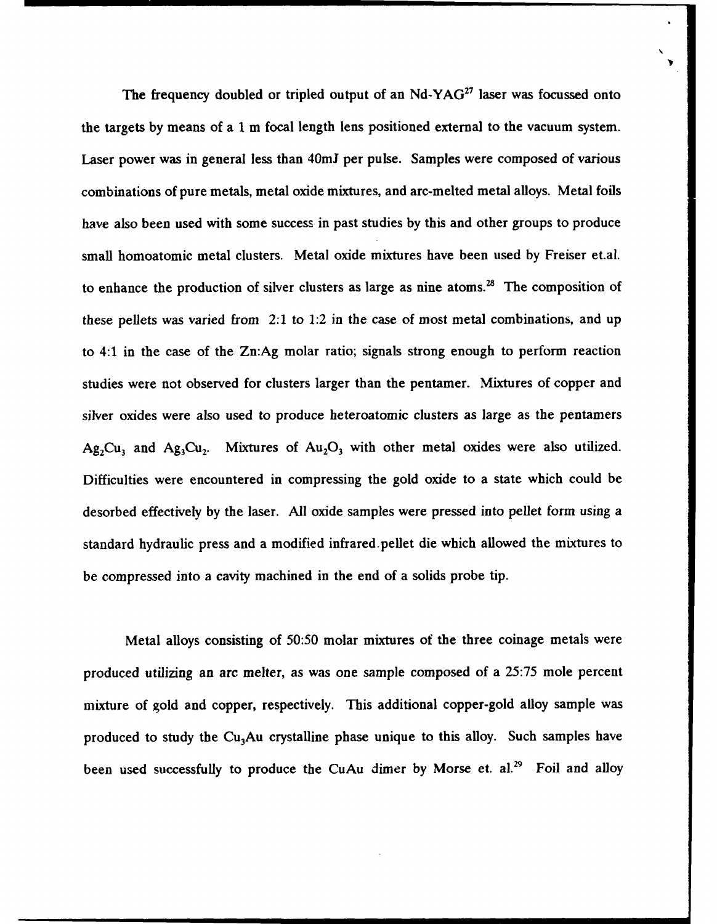The frequency doubled or tripled output of an Nd-YAG<sup>27</sup> laser was focussed onto the targets **by** means of a 1 m focal length lens positioned external to the vacuum system. Laser power was in general less than 40mJ per pulse. Samples were composed of various combinations of pure metals, metal oxide mixtures, and arc-melted metal alloys. Metal foils have also been used with some success in past studies **by** this and other groups to produce small homoatomic metal clusters. Metal oxide mixtures have been used **by** Freiser et.al. to enhance the production of silver clusters as large as nine atoms.<sup>28</sup> The composition of these pellets was varied from 2:1 to 1:2 in the case of most metal combinations, and up to 4:1 in the case of the Zn:Ag molar ratio; signals strong enough to perform reaction studies were not observed for clusters larger than the pentamer. Mixtures of copper and silver oxides were also used to produce heteroatomic clusters as large as the pentamers  $Ag_2Cu_3$  and  $Ag_3Cu_2$ . Mixtures of  $Au_2O_3$  with other metal oxides were also utilized. Difficulties were encountered in compressing the gold oxide to a state which could be desorbed effectively **by** the laser. **All** oxide samples were pressed into pellet form using a standard hydraulic press and a modified infrared-pellet die which allowed the mixtures to be compressed into a cavity machined in the end of a solids probe tip.

Metal alloys consisting of 50:50 molar mixtures of the three coinage metals were produced utilizing an arc melter, as was one sample composed of a 25:75 mole percent mixture of gold and copper, respectively. This additional copper-gold alloy sample was produced to study the  $Cu<sub>3</sub>Au$  crystalline phase unique to this alloy. Such samples have been used successfully to produce the CuAu dimer **by** Morse et. **al.<sup>29</sup>** Foil and alloy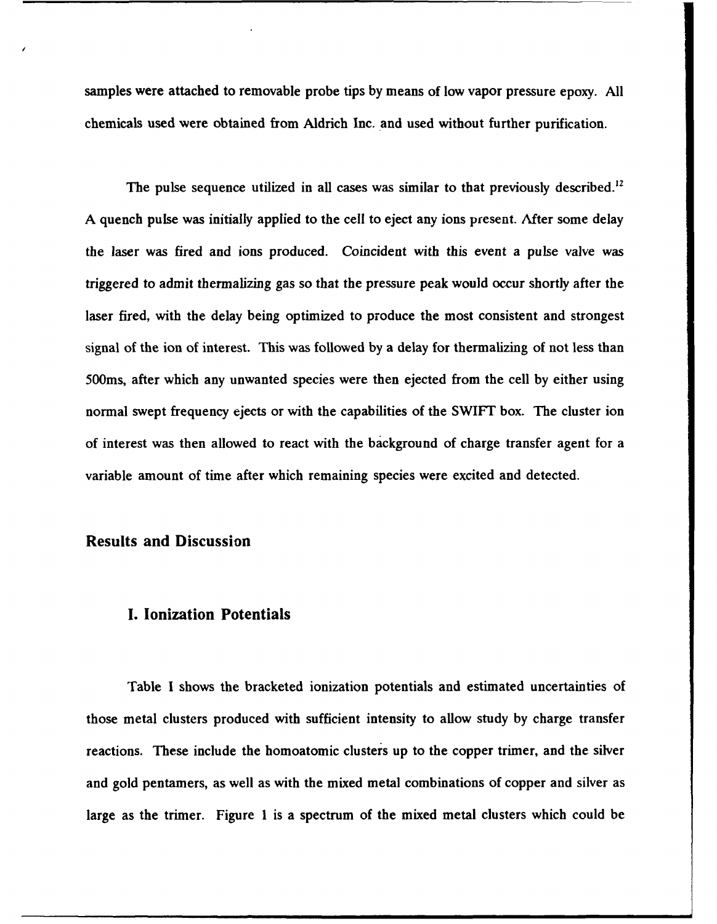samples were attached to removable probe tips **by** means of low vapor pressure epoxy. **All** chemicals used were obtained from Aldrich Inc. and used without further purification.

The pulse sequence utilized in all cases was similar to that previously described.<sup>12</sup> A quench pulse was initially applied to the cell to eject any ions present. After some delay the laser was fired and ions produced. Coincident with this event a pulse valve was triggered to admit thermalizing gas so that the pressure peak would occur shortly after the laser fired, with the delay being optimized to produce the most consistent and strongest signal of the ion of interest. This was followed **by** a delay for thermalizing of not less than 500ms, after which any unwanted species were then ejected from the cell by either using normal swept frequency ejects or with the capabilities of the SWIFT box. The cluster ion of interest was then allowed to react with the background of charge transfer agent for a variable amount of time after which remaining species were excited and detected.

#### Results and Discussion

#### **I.** Ionization Potentials

Table I shows the bracketed ionization potentials and estimated uncertainties of those metal clusters produced with sufficient intensity to allow study **by** charge transfer reactions. These include the homoatomic clusters up to the copper trimer, and the silver and gold pentamers, as well as with the mixed metal combinations of copper and silver as large as the trimer. Figure 1 is a spectrum of the mixed metal clusters which could be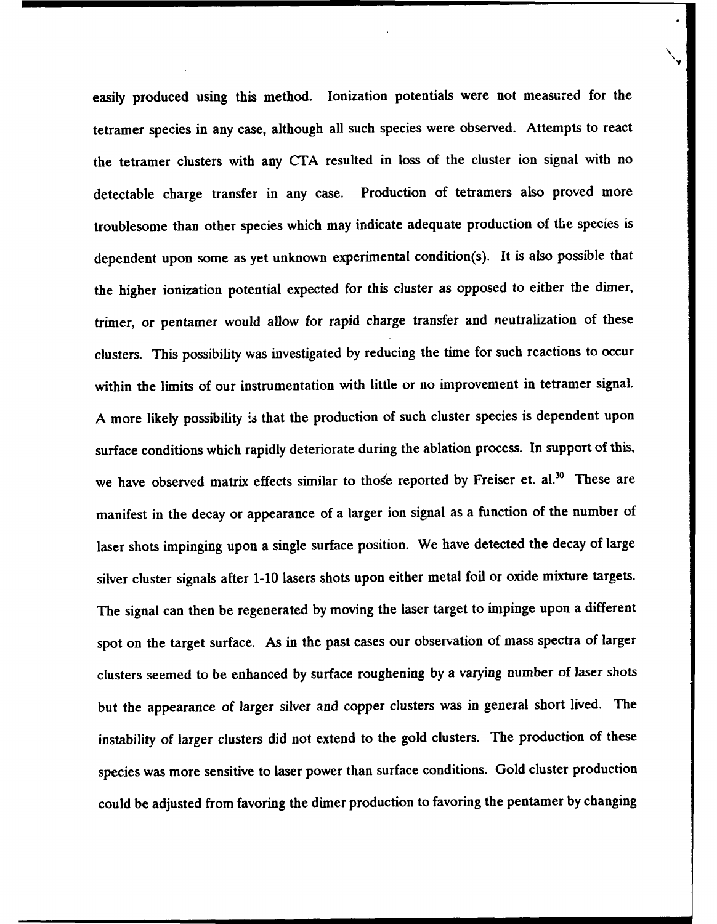easily produced using this method. Ionization potentials were not measured for the tetramer species in any case, although all such species were observed. Attempts to react the tetramer clusters with any CTA resulted in loss of the cluster ion signal with no detectable charge transfer in any case. Production of tetramers also proved more troublesome than other species which may indicate adequate production of the species is dependent upon some as yet unknown experimental condition(s). It is also possible that the higher ionization potential expected for this cluster as opposed to either the dimer, trimer, or pentamer would allow for rapid charge transfer and neutralization of these clusters. This possibility was investigated by reducing the time for such reactions to occur within the limits of our instrumentation with little or no improvement in tetramer signal. A more likely possibility is that the production of such cluster species is dependent upon surface conditions which rapidly deteriorate during the ablation process. In support of this, we have observed matrix effects similar to those reported by Freiser et. al.<sup>30</sup> These are manifest in the decay or appearance of a larger ion signal as a function of the number of laser shots impinging upon a single surface position. We have detected the decay of large silver cluster signals after 1-10 lasers shots upon either metal foil or oxide mixture targets. The signal can then be regenerated **by** moving the laser target to impinge upon a different spot on the target surface. As in the past cases our observation of mass spectra of larger clusters seemed to be enhanced **by** surface roughening by a varying number of laser shots but the appearance of larger silver and copper clusters was in general short lived. The instability of larger clusters did not extend to the gold clusters. The production of these species was more sensitive to laser power than surface conditions. Gold cluster production could be adjusted from favoring the dimer production to favoring the pentamer **by** changing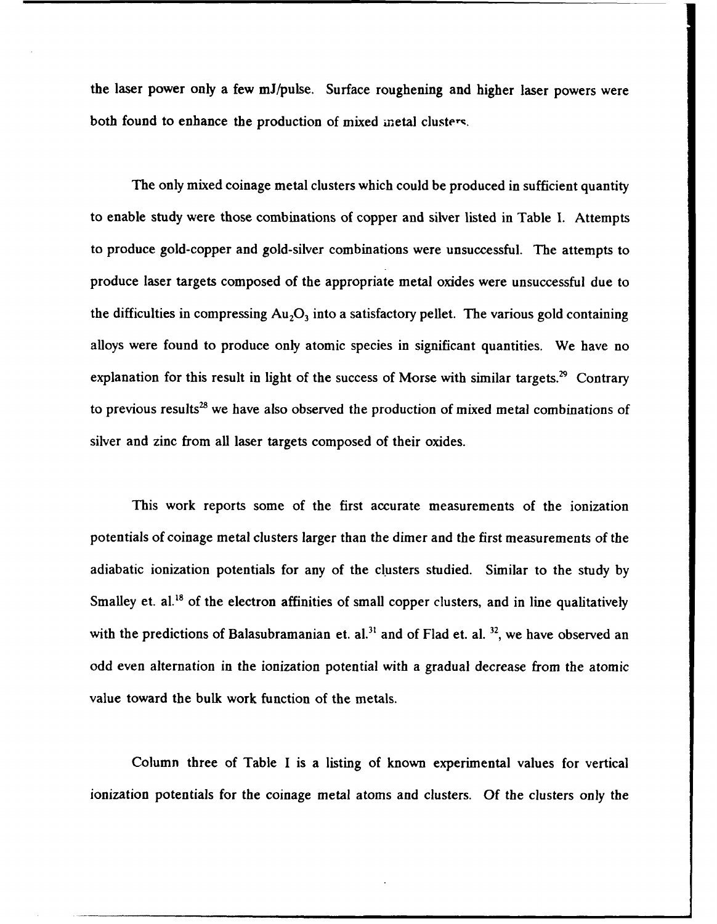the laser power only a few mJ/pulse. Surface roughening and higher laser powers were both found to enhance the production of mixed metal clusters.

The only mixed coinage metal clusters which could be produced in sufficient quantity to enable study were those combinations of copper and silver listed in Table I. Attempts to produce gold-copper and gold-silver combinations were unsuccessful. The attempts to produce laser targets composed of the appropriate metal oxides were unsuccessful due to the difficulties in compressing  $Au<sub>2</sub>O<sub>3</sub>$  into a satisfactory pellet. The various gold containing alloys were found to produce only atomic species in significant quantities. We have no explanation for this result in light of the success of Morse with similar targets.<sup>29</sup> Contrary to previous results<sup>28</sup> we have also observed the production of mixed metal combinations of silver and zinc from all laser targets composed of their oxides.

This work reports some of the first accurate measurements of the ionization potentials of coinage metal clusters larger than the dimer and the first measurements of the adiabatic ionization potentials for any of the clusters studied. Similar to the study by Smalley et. al.<sup>18</sup> of the electron affinities of small copper clusters, and in line qualitatively with the predictions of Balasubramanian et. al.<sup>31</sup> and of Flad et. al.<sup>32</sup>, we have observed an odd even alternation in the ionization potential with a gradual decrease from the atomic value toward the bulk work function of the metals.

Column three of Table I is a listing of known experimental values for vertical ionization potentials for the coinage metal atoms and clusters. **Of** the clusters only the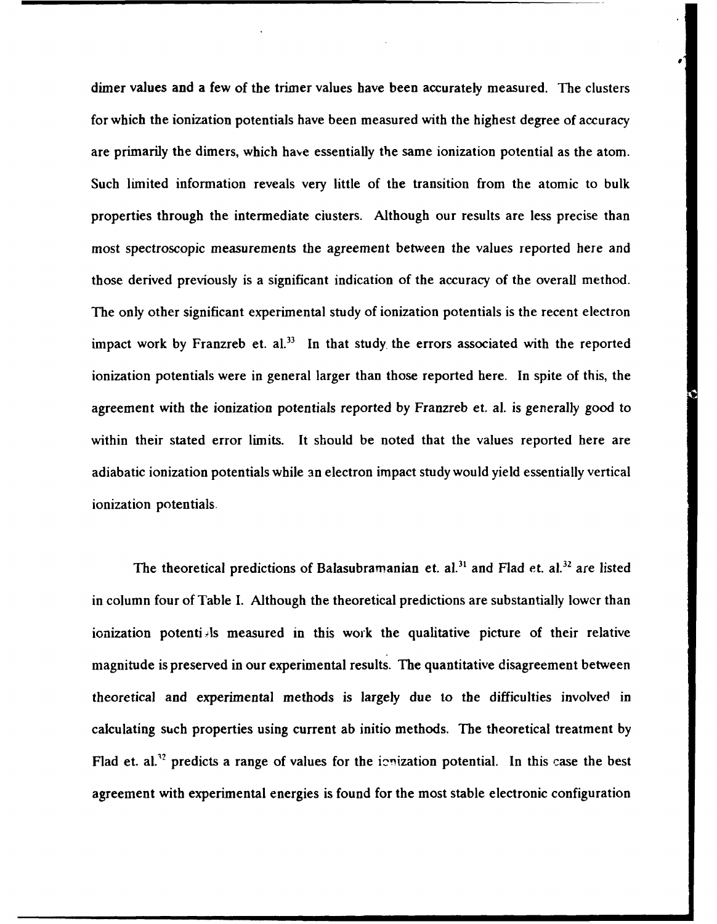dimer values and a few of the trimer values have been accurately measured. The clusters for which the ionization potentials have been measured with the highest degree of accuracy are primarily the dimers, which have essentially the same ionization potential as the atom. Such limited information reveals very little of the transition from the atomic to bulk properties through the intermediate ciusters. Although our results are less precise than most spectroscopic measurements the agreement between the values reported here and those derived previously is a significant indication of the accuracy of the overall method. The only other significant experimental study of ionization potentials is the recent electron impact work by Franzreb et.  $aI<sup>33</sup>$  In that study the errors associated with the reported ionization potentials were in general larger than those reported here. In spite of this, the agreement with the ionization potentials reported **by** Franzreb et. al. is generally good to within their stated error limits. It should be noted that the values reported here are adiabatic ionization potentials while an electron impact study would yield essentially vertical ionization potentials.

The theoretical predictions of Balasubramanian et. al.<sup>31</sup> and Flad et. al.<sup>32</sup> are listed in column four of Table I. Although the theoretical predictions are substantially lower than ionization potenti Is measured in this work the qualitative picture of their relative magnitude is preserved in our experimental results. The quantitative disagreement between theoretical and experimental methods is largely due to the difficulties involved in calculating such properties using current ab initio methods. The theoretical treatment **by** Flad et. al.<sup>32</sup> predicts a range of values for the inization potential. In this case the best agreement with experimental energies is found for the most stable electronic configuration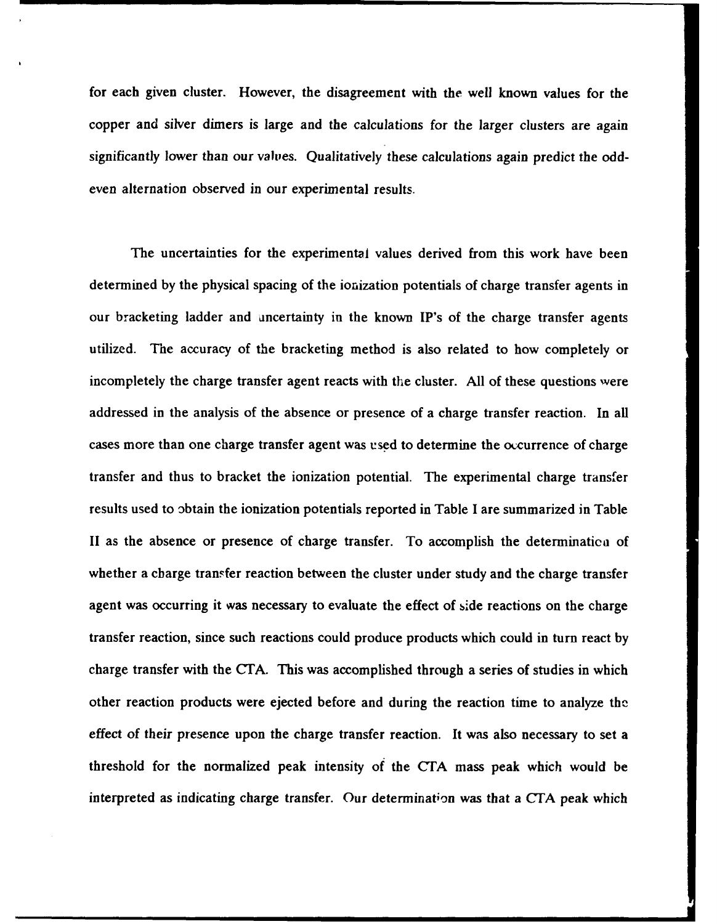for each given cluster. However, the disagreement with the well known values for the copper and silver dimers is large and the calculations for the larger clusters are again significantly lower than our valves. Qualitatively these calculations again predict the oddeven alternation observed in our experimental results.

The uncertainties for the experimental values derived from this work have been determined **by** the physical spacing of the ionization potentials of charge transfer agents in our bracketing ladder and uncertainty in the known IP's of the charge transfer agents utilized. The accuracy of the bracketing method is also related to how completely or incompletely the charge transfer agent reacts with the cluster. **All** of these questions were addressed in the analysis of the absence or presence of a charge transfer reaction. In all cases more than one charge transfer agent was used to determine the occurrence of charge transfer and thus to bracket the ionization potential. The experimental charge transfer results used to obtain the ionization potentials reported in Table **I** are summarized in Table II as the absence or presence of charge transfer. To accomplish the determinatica of whether a cbarge transfer reaction between the cluster under study and the charge transfer agent was occurring it was necessary to evaluate the effect of side reactions on the charge transfer reaction, since such reactions could produce products which could in turn react **by** charge transfer with the **CTA.** This was accomplished through a series of studies in which other reaction products were ejected before and during the reaction time to analyze the effect of their presence upon the charge transfer reaction. It was also necessary to set a threshold for the normalized peak intensity of the **CrA** mass peak which would be interpreted as indicating charge transfer. Our determination was that a CTA peak which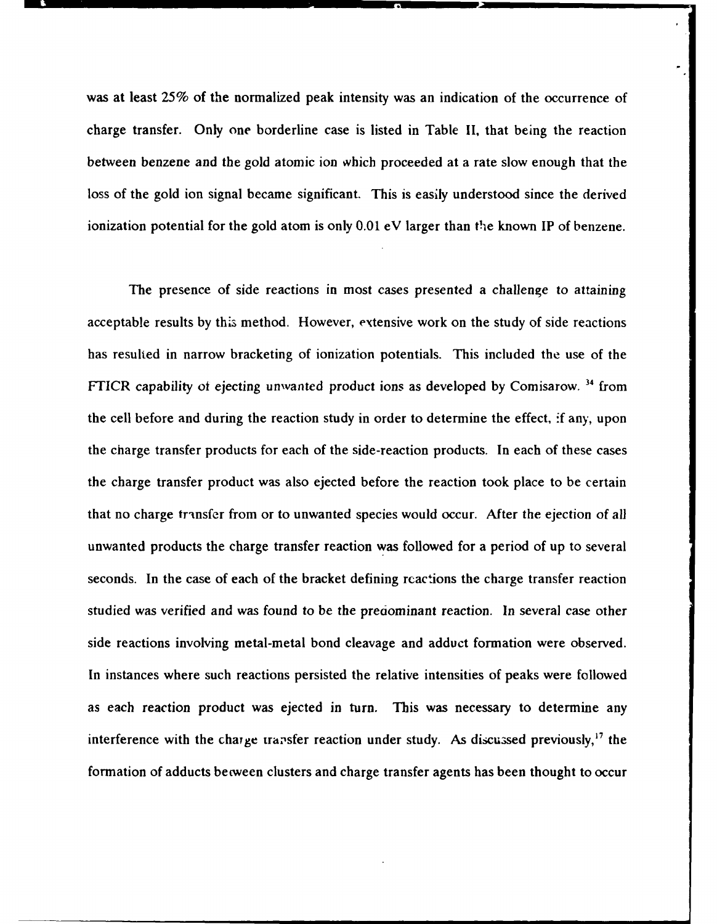was at least **25%** of the normalized peak intensity was an indication of the occurrence of charge transfer. Only one borderline case is listed in Table **II,** that being the reaction between benzene and the gold atomic ion which proceeded at a rate slow enough that the loss of the gold ion signal became significant. This is easily understood since the derived ionization potential for the gold atom is only 0.01 eV larger than the known IP of benzene.

The presence of side reactions in most cases presented a challenge to attaining acceptable results by this method. However, extensive work on the study of side reactions has resulted in narrow bracketing of ionization potentials. This included the use of the FTICR capability of ejecting unwanted product ions as developed by Comisarow. **"** from the cell before and during the reaction study in order to determine the effect, **-f** any, upon the charge transfer products for each of the side-reaction products. In each of these cases the charge transfer product was also ejected before the reaction took place to be certain that no charge transfer from or to unwanted species would occur. After the ejection of all unwanted products the charge transfer reaction was followed for a period of up to several seconds. In the case of each of the bracket defining rcactions the charge transfer reaction studied was verified and was found to be the predominant reaction. In several case other side reactions involving metal-metal bond cleavage and adduct formation were observed. In instances where such reactions persisted the relative intensities of peaks were followed as each reaction product was ejected in turn. This was necessary to determine any interference with the charge transfer reaction under study. As discussed previously,<sup>17</sup> the formation of adducts between clusters and charge transfer agents has been thought to occur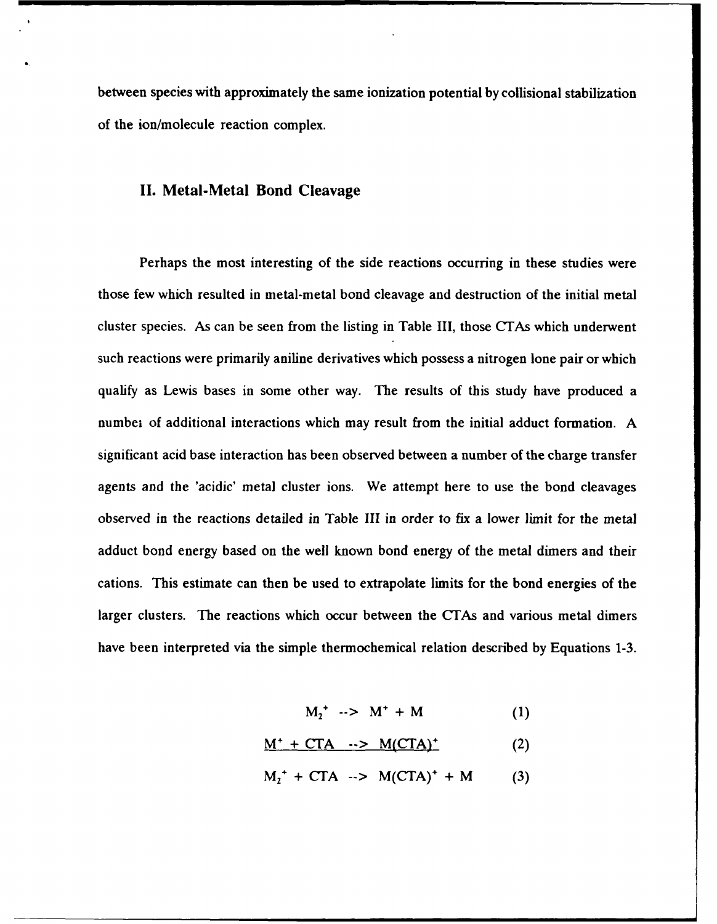between species with approximately the same ionization potential **by** collisional stabilization of the ion/molecule reaction complex.

#### **II.** Metal-Metal Bond Cleavage

Perhaps the most interesting of the side reactions occurring in these studies were those few which resulted in metal-metal bond cleavage and destruction of the initial metal cluster species. As can be seen from the listing in Table III, those CTAs which underwent such reactions were primarily aniline derivatives which possess a nitrogen lone pair or which qualify as Lewis bases in some other way. The results of this study have produced a numbei of additional interactions which may result from the initial adduct formation. A significant acid base interaction has been observed between a number **of** the charge transfer agents and the 'acidic' metal cluster ions. We attempt here to use the bond cleavages observed in the reactions detailed in Table **III** in order to fix a lower limit for the metal adduct bond energy based on the well known bond energy of the metal dimers and their cations. This estimate can then be used to extrapolate limits for the bond energies of the larger clusters. The reactions which occur between the CTAs and various metal dimers have been interpreted via the simple thermochemical relation described by Equations 1-3.

 $M_2^+$  -->  $M^+ + M$  (1)

$$
M^{+} + CTA \rightarrow M(CTA)^{+}
$$
 (2)

 $M_1^+$  + CTA  $\rightarrow$  M(CTA)<sup>+</sup> + M (3)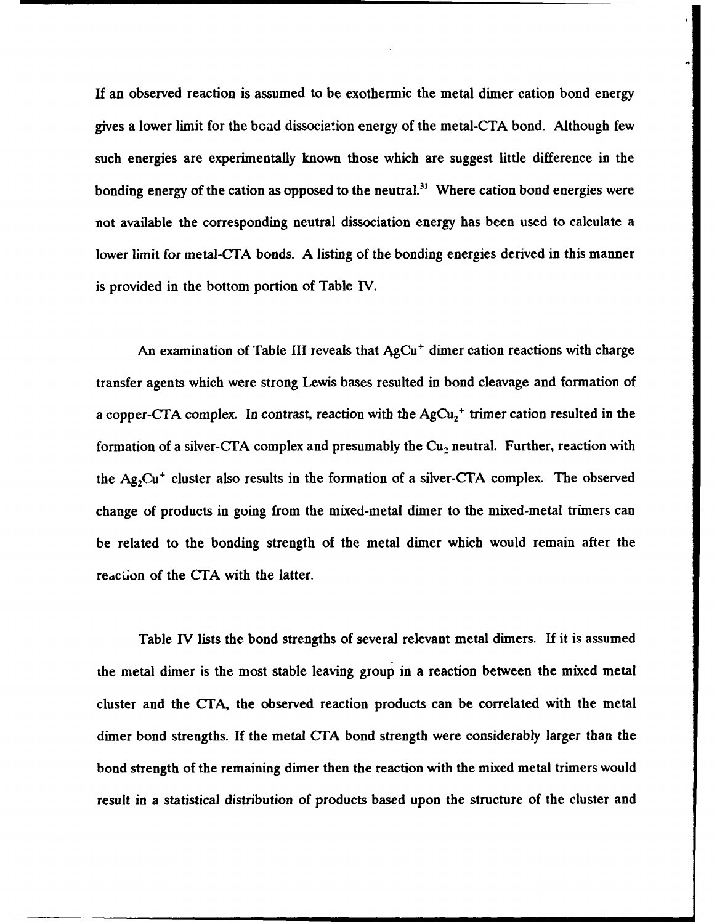**If** an observed reaction is assumed to be exothermic the metal dimer cation bond energy gives a lower limit for the boad dissociation energy of the metal-CTA bond. Although few such energies are experimentally known those which are suggest little difference in the bonding energy of the cation as opposed to the neutral.<sup>31</sup> Where cation bond energies were not available the corresponding neutral dissociation energy has been used to calculate a lower limit for metal-CTA bonds. A listing of the bonding energies derived in this manner is provided in the bottom portion of Table IV.

An examination of Table III reveals that AgCu<sup>+</sup> dimer cation reactions with charge transfer agents which were strong Lewis bases resulted in bond cleavage and formation of a copper-CTA complex. In contrast, reaction with the  $AgCu<sub>2</sub><sup>+</sup>$  trimer cation resulted in the formation of a silver-CTA complex and presumably the  $Cu<sub>2</sub>$  neutral. Further, reaction with the  $Ag_2Cu^+$  cluster also results in the formation of a silver-CTA complex. The observed change of products in going from the mixed-metal dimer to the mixed-metal trimers can be related to the bonding strength of the metal dimer which would remain after the reaction of the **CTA** with the latter.

Table IV lists the bond strengths of several relevant metal dimers. If it is assumed the metal dimer is the most stable leaving group in a reaction between the mixed metal cluster and the CTA, the observed reaction products can be correlated with the metal dimer bond strengths. If the metal CTA bond strength were considerably larger than the bond strength of the remaining dimer then the reaction with the mixed metal trimers would result in a statistical distribution of products based upon the structure of the cluster and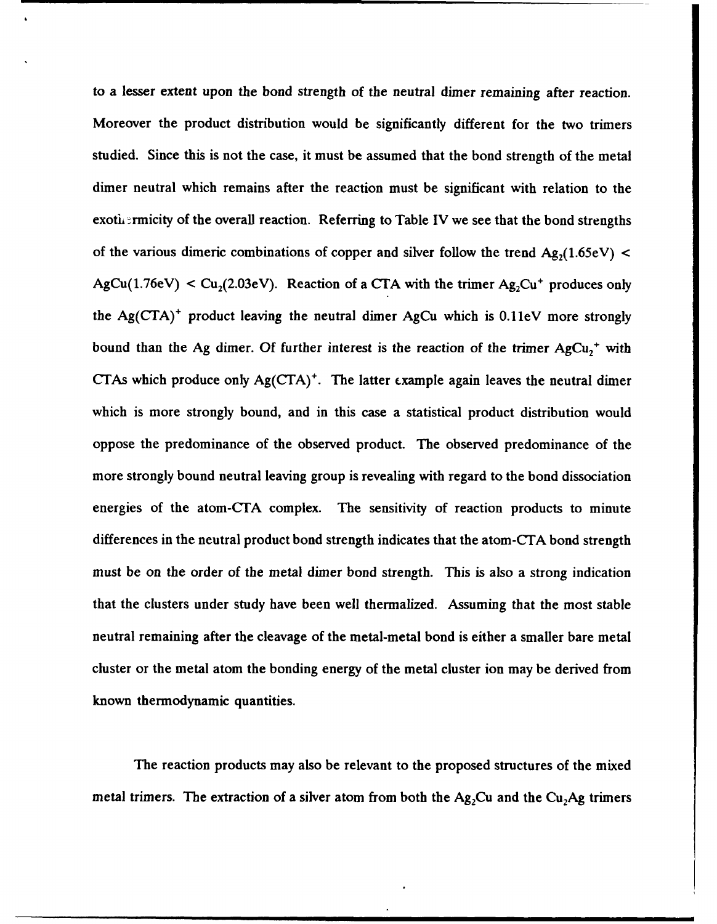to a lesser extent upon the bond strength of the neutral dimer remaining after reaction. Moreover the product distribution would be significantly different for the two trimers studied. Since this is not the case, it must be assumed that the bond strength of the metal dimer neutral which remains after the reaction must be significant with relation to the exothermicity of the overall reaction. Referring to Table IV we see that the bond strengths of the various dimeric combinations of copper and silver follow the trend  $Ag<sub>2</sub>(1.65eV)$  <  $AgCu(1.76eV) < Cu_2(2.03eV)$ . Reaction of a CTA with the trimer  $Ag_2Cu^+$  produces only the  $Ag(CTA)^+$  product leaving the neutral dimer AgCu which is  $0.11eV$  more strongly bound than the Ag dimer. Of further interest is the reaction of the trimer  $AgCu<sub>2</sub><sup>+</sup>$  with **CTAs** which produce only **Ag(CTA) +.** The latter c.xample again leaves the neutral dimer which is more strongly bound, and in this case a statistical product distribution would oppose the predominance of the observed product. The observed predominance of the more strongly bound neutral leaving group is revealing with regard to the bond dissociation energies of the atom-CTA complex. The sensitivity of reaction products to minute differences in the neutral product bond strength indicates that the atom-CTA bond strength must be on the order of the metal dimer bond strength. This is also a strong indication that the clusters under study have been well thermalized. Assuming that the most stable neutral remaining after the cleavage of the metal-metal bond is either a smaller bare metal cluster or the metal atom the bonding energy of the metal cluster ion may be derived from known thermodynamic quantities.

The reaction products may also be relevant to the proposed structures of the mixed metal trimers. The extraction of a silver atom from both the  $Ag_2Cu$  and the  $Cu_2Ag$  trimers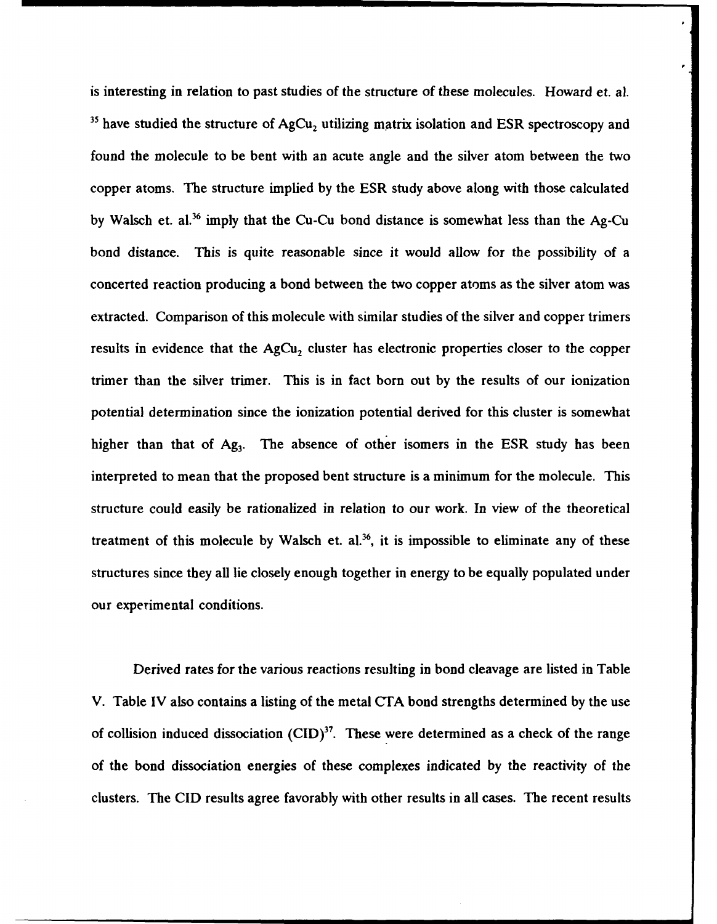is interesting in relation to past studies of the structure of these molecules. Howard et. al. <sup>35</sup> have studied the structure of AgCu<sub>2</sub> utilizing matrix isolation and ESR spectroscopy and found the molecule to be bent with an acute angle and the silver atom between the two copper atoms. The structure implied **by** the ESR study above along with those calculated **by** Walsch et. al.36 imply that the Cu-Cu bond distance is somewhat less than the Ag-Cu bond distance. This is quite reasonable since it would allow for the possibility of a concerted reaction producing a bond between the two copper atoms as the silver atom was extracted. Comparison of this molecule with similar studies of the silver and copper trimers results in evidence that the  $AgCu<sub>2</sub>$  cluster has electronic properties closer to the copper trimer than the silver trimer. This is in fact born out **by** the results of our ionization potential determination since the ionization potential derived for this cluster is somewhat higher than that of Ag<sub>3</sub>. The absence of other isomers in the ESR study has been interpreted to mean that the proposed bent structure is a minimum for the molecule. This structure could easily be rationalized in relation to our work. In view of the theoretical treatment of this molecule by Walsch et. al.<sup>36</sup>, it is impossible to eliminate any of these structures since they all lie closely enough together in energy to be equally populated under our experimental conditions.

Derived rates for the various reactions resulting in bond cleavage are listed in Table V. Table IV also contains a listing of the metal **CTA** bond strengths determined **by** the use of collision induced dissociation  $(CID)^{37}$ . These were determined as a check of the range of the bond dissociation energies of these complexes indicated **by** the reactivity of the clusters. The **CID** results agree favorably with other results in all cases. The recent results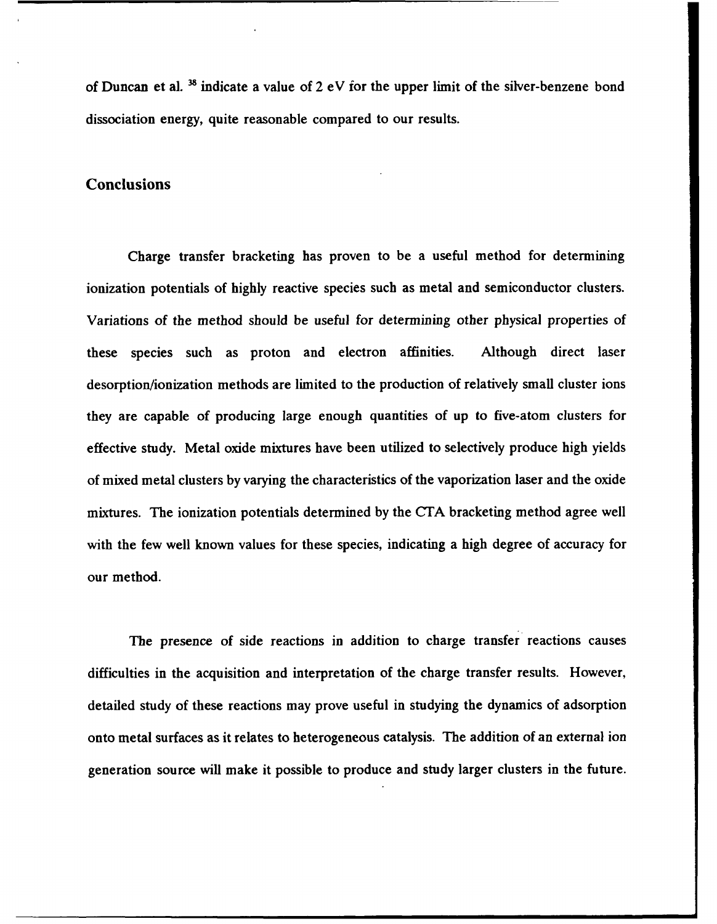of Duncan et al. <sup>38</sup> indicate a value of 2 eV for the upper limit of the silver-benzene bond dissociation energy, quite reasonable compared to our results.

#### **Conclusions**

Charge transfer bracketing has proven to be a useful method for determining ionization potentials of **highly** reactive species such as metal and semiconductor clusters. Variations of the method should be useful for determining other physical properties of these species such as proton and electron affinities. Although direct laser desorption/ionization methods are limited to the production of relatively small cluster ions they are capable of producing large enough quantities of up to five-atom clusters for effective study. Metal oxide mixtures have been utilized to selectively produce high yields of mixed metal clusters **by** varying the characteristics of the vaporization laser and the oxide mixtures. The ionization potentials determined **by** the **CTA** bracketing method agree well with the few well known values for these species, indicating a high degree of accuracy for our method.

The presence of side reactions in addition to charge transfer reactions causes difficulties in the acquisition and interpretation of the charge transfer results. However, detailed study of these reactions may prove useful in studying the dynamics of adsorption onto metal surfaces as it relates to heterogeneous catalysis. The addition of an external ion generation source will make it possible to produce and study larger clusters in the future.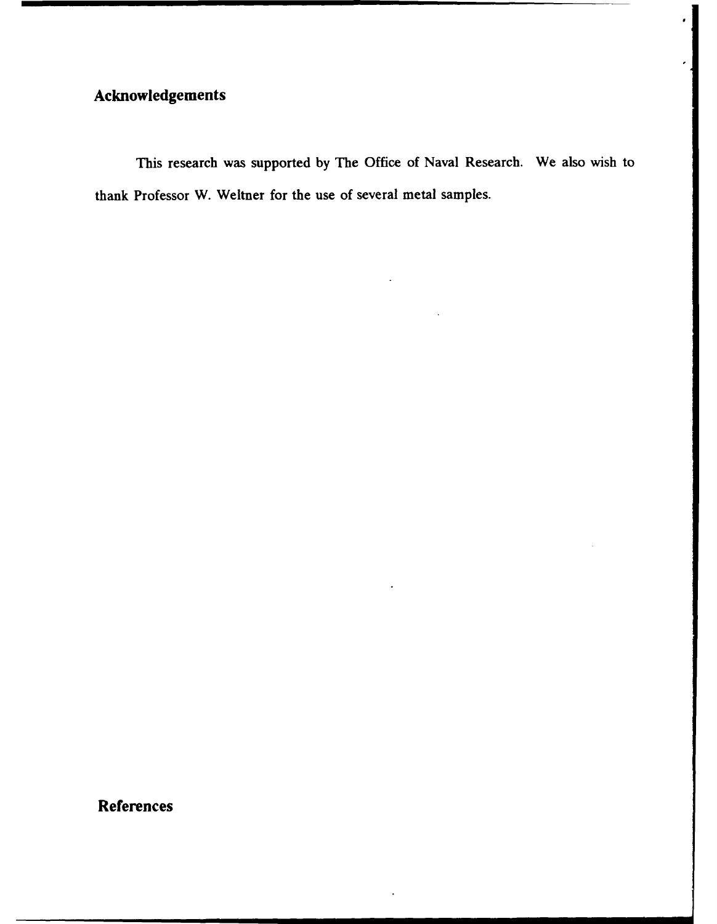## Acknowledgements

This research was supported **by** The Office of Naval Research. We also wish to thank Professor W. Weltner for the use of several metal samples.

References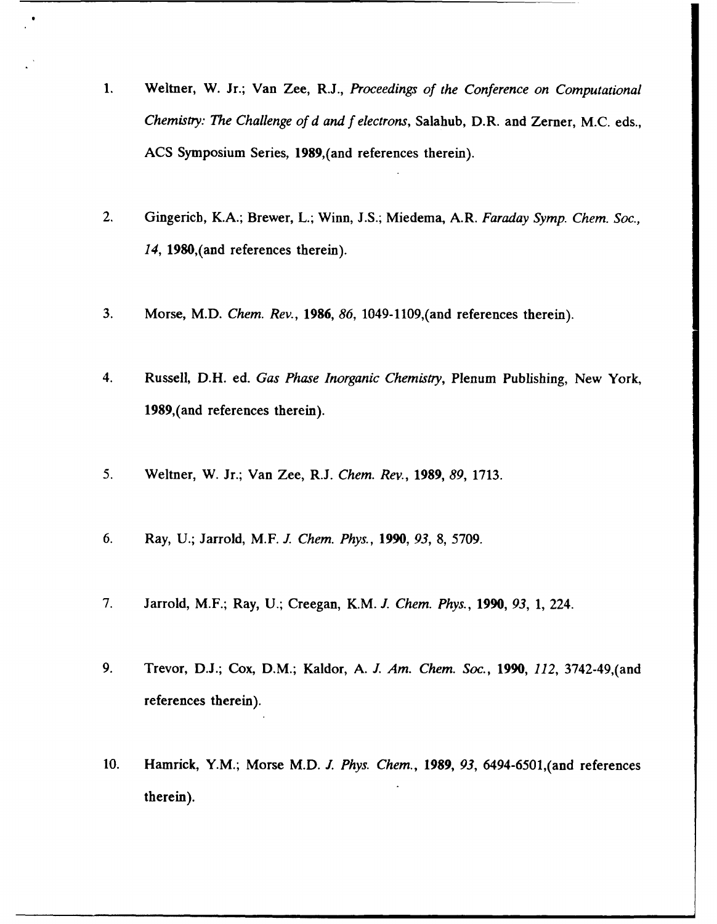- **1.** Weitner, W. Jr.; Van Zee, R.J., *Proceedings of the Conference on Computational Chemistiy: Thze Challenge of d and f electrons,* Salahub, D.R. and Zerner, **M.C.** eds., **ACS** Symposium Series, 1989,(and references therein).
- 2. Gingenich, K.A.; Brewer, L.; Winn, **J.S.;** Miedema, A.R. *Faraday Symp. Chem. Soc., 14,* 1980,(and references therein).
- **3.** Morse, M.D. *Chem. Rev., 1986, 86,* 1049-1109,(and references therein).
- 4. Russell, D.H. ed. *Gas Phase Inorganic Chemistny,* Plenum Publishing, New York, 1989,(and references therein).
- *5.* Weitner, W. Jr.; Van Zee, R.J. *Chem. Rev., 1989, 89,* **1713.**
- **6.** Ray, **U.;** Jarrold, M.F. *J Chem. Phys., 1990, 93,* **8,** *5709.*
- *7.* Jarrold, M.F.; Ray, **U.;** Creegan, K.M. *J. Chem. Phys., 1990, 93,* **1,** 224.
- **9.** Trevor, **D.J.;** Cox, D.M.; Kaldor, **A.** *I. Am. Chem. Soc., 1990, 112,* 3742.49,(and references therein).
- **10.** Hamrick, Y.M.; Morse M.D. *J. Phys. Chem., 1989, 93,* 6494-6501,(and references therein).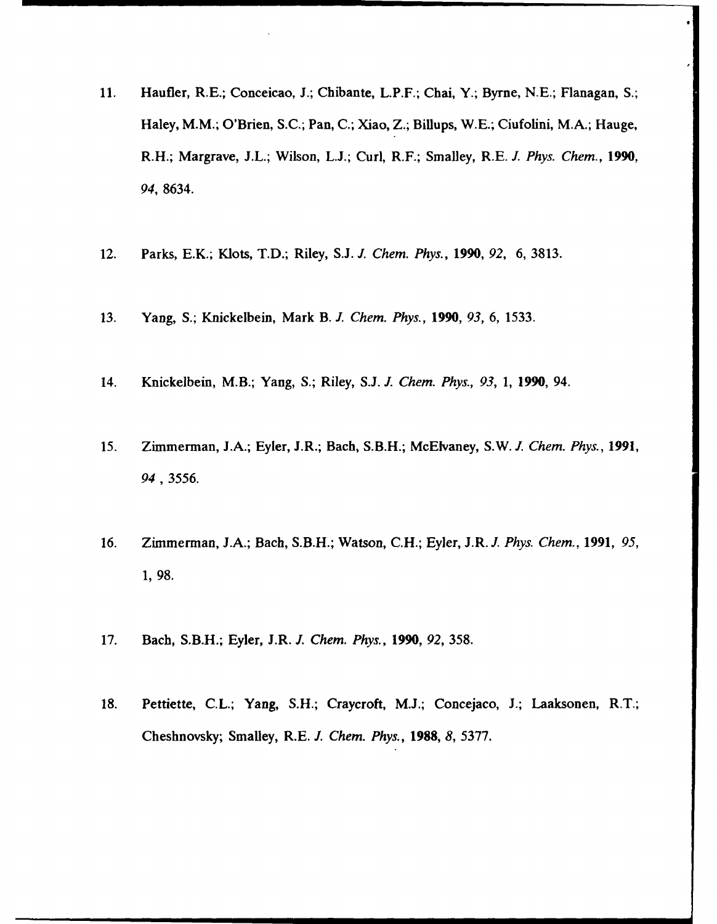- **11.** Haufler, R.E.; Conceicao, **J.;** Chibante, L.P.F.; Chai, Y.; Byrne, **N.E.;** Flanagan, **S.;** Haley, M.M.; O'Brien, **S.C.;** Pan, **C.;** Xiao, Z.; Billups, **W.E.;** Ciufolini, M.A.; Hauge, R.H.; Margrave, **J.L.;** Wilson, **L.J.;** Curl, R.F.; Smalley, R.E. *J. Phys. Chem., 1990, 94,* **8634.**
- 12. Parks, E.K.; Kiots, T.D.; Riley, **STJ** *J. Chem. Phys., 1990, 92,* **6, 3813.**
- **13.** Yang, **S.;** Knickelbein, Mark B. *. Chem. Phys., 1990, 93,* **6, 1533.**
- 14. Knickelbein, M.B.; Yang, **S.;** Riley, **S.J.** *J. Chem. Phys., 93, 1,* **1990,** 94.
- *15.* Zimmerman, **J.A.;** Eyler, J.R.; Bach, S.B.H.; McElvaney, S.W. *. Chem. Phys., 1991, 94, 3556.*
- **16.** Zimmerman, **J.A.;** Bach, S.B.H.; Watson, **C.H.;** Eyler, J.R. *J. Phys. Chem., 1991, 95,* **1, 98.**
- **17.** Bach, S.B.H.; Eyler, J.R. *J. Chem. Phys., 1990, 92,* **358.**
- **18.** Pettiette, **C.L.;** Yang, **S.H.;** Craycroft, **MTJ;** Concejaco, **J.;** Laaksonen, R.T.; Cheshnovsky; Smalley, R.E. *J. Chem. Phys., 1988, 8,* **5377.**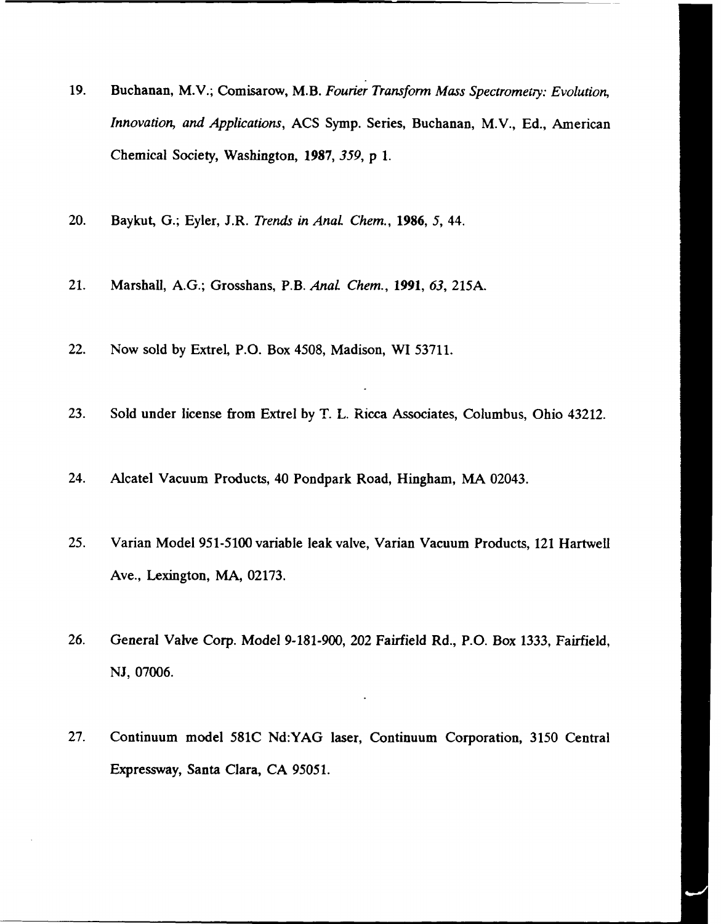- 19. Buchanan, M.V.; Comisarow, M.B. *Fourier Transform Mass Spectrometry: Evolution, Innovation, and Applications,* ACS Symp. Series, Buchanan, M.V., Ed., American Chemical Society, Washington, 1987, *359, p* 1.
- 20. Baykut, G.; Eyler, J.R. *Trends in AnaL Chem.,* **1986,** *5,* 44.
- 21. Marshall, A.G.; Grosshans, P.B. *Anal Chem.,* **1991,** *63, 215A.*
- 22. Now sold by Extrel, P.O. Box 4508, Madison, WI 53711.
- 23. Sold under license from Extrel by T. L. Ricca Associates, Columbus, Ohio 43212.
- 24. Alcatel Vacuum Products, 40 Pondpark Road, Hingham, MA 02043.
- 25. Varian Model 951-5100 variable leak valve, Varian Vacuum Products, 121 Hartwell Ave., Lexington, MA, 02173.
- 26. General Valve Corp. Model 9-181-900, 202 Fairfield Rd., P.O. Box 1333, Fairfield, NJ, 07006.
- 27. Continuum model 581C Nd:YAG laser, Continuum Corporation, 3150 Central Expressway, Santa Clara, **CA** *95051.*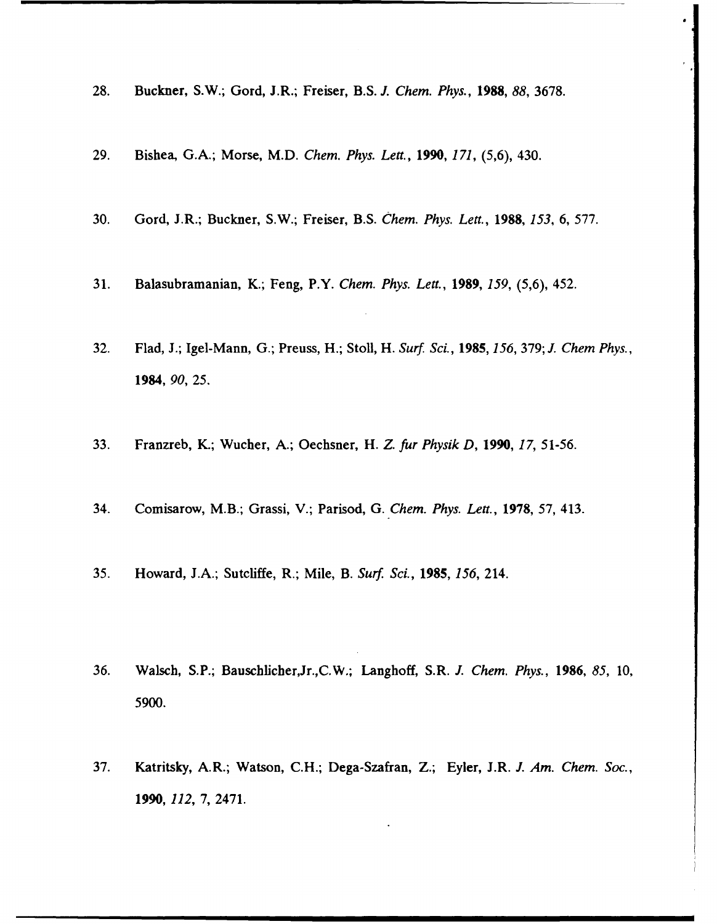- 28. Buckner, S.W.; Gord, J.R.; Freiser, B.S. *J. Chem. Phys.,* **1988,** *88,* 3678.
- 29. Bishea, G.A.; Morse, M.D. *Chem. Phys. Lea.,* 1990, *171,* (5,6), 430.
- 30. Gord, J.R.; Buckner, S.W.; Freiser, B.S. *Chem. Phys. Lett.,* **1988,** *153,* 6, 577.
- 31. Balasubramanian, K.; Feng, P.Y. *Chem. Phys. Lett.,* 1989, *159,* (5,6), 452.
- 32. Flad, J.; Igel-Mann, G.; Preuss, H.; Stoll, H. *Surf. Sci., 1985, 156,* 379; *J. Chem Phys.,* 1984, **90, 25.**
- 33. Franzreb, K.; Wucher, A.; Oechsner, H. *Z. fur Physik D,* 1990, *17, 51-56.*
- 34. Comisarow, M.B.; Grassi, V.; Parisod, G. *Chem. Phys. Lea.,* **1978,** 57, 413.
- 35. Howard, J.A.; Sutcliffe, R.; Mile, B. *Surf. Sci.,* **1985,** *156,* 214.
- 36. Walsch, S.P.; Bauschlicher,Jr.,C.W.; Langhoff, S.R. *I. Chem. Phys.,* **1986,** *85,* 10, 5900.
- 37. Katritsky, A.R.; Watson, C.H.; Dega-Szafran, Z.; Eyler, J.R. *J. Am. Chem. Soc.,* 1990, *112,* 7, 2471.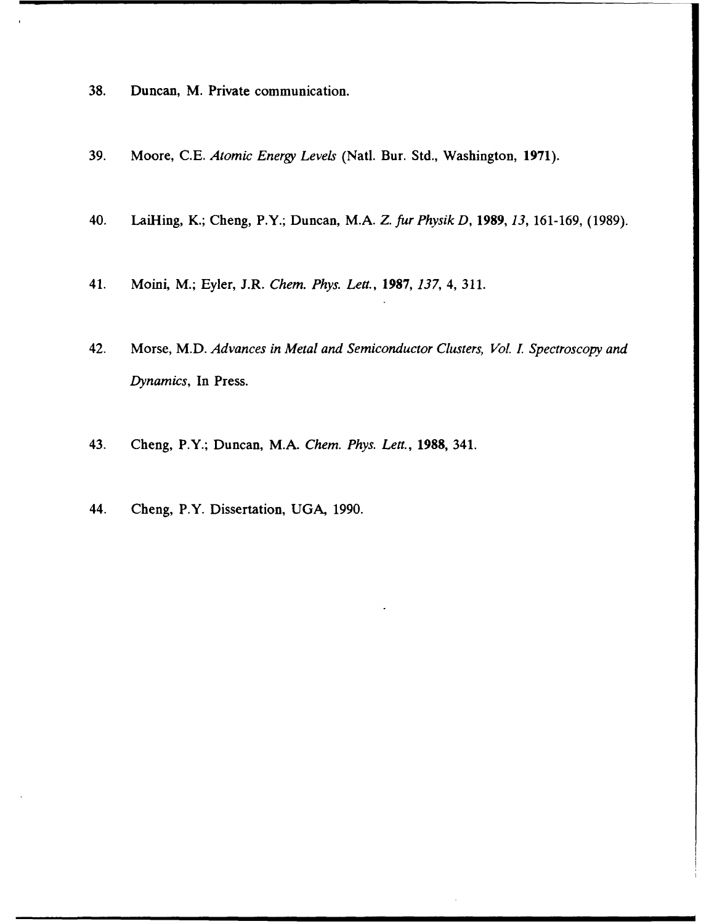- **38.** Duncan, M. Private communication.
- 39. Moore, C.E. *Atomic Energy Levels* (Natl. Bur. Std., Washington, **1971).**
- 40. LaiHing, K.; Cheng, P.Y.; Duncan, M.A. *Z. fur Physik D,* 1989, *13,* 161-169, (1989).
- 41. Moini, M.; Eyler, J.R. *Chem. Phys. Lett.,* 1987, *137,* 4, 311.
- 42. Morse, M.D. *Advances in Metal and Semiconductor Clusters, Vol. 1. Spectroscopy and Dynamics,* In Press.
- 43. Cheng, P.Y.; Duncan, M.A. *Chem. Phys. Lett.,* **1988,** 341.
- 44. Cheng, P.Y. Dissertation, UGA, 1990.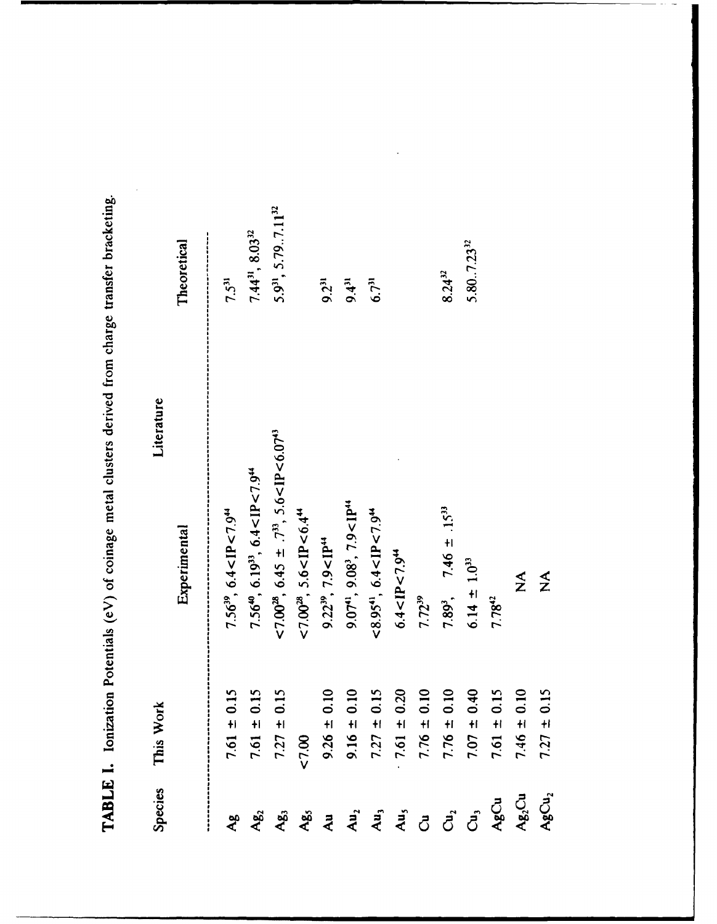| <b>Species</b> | This Work                                                     | Literature                                                                           |                                             |
|----------------|---------------------------------------------------------------|--------------------------------------------------------------------------------------|---------------------------------------------|
|                |                                                               | Experimental                                                                         | Theoretical                                 |
| ەم<br>م        | $\pm 0.15$<br>$\frac{1}{2}$                                   | $7.56^{39}$ , 6.4 <ip<7.9<sup>44</ip<7.9<sup>                                        | $7.5^{31}$                                  |
| $Ag_2$         | 0.15<br>$+1$<br>7.61<br>7.61                                  | 7.56 <sup>40</sup> , 6.19 <sup>33</sup> , 6.4 <ip<7.9<sup>44</ip<7.9<sup>            | $7.44^{31}$ , 8.03 <sup>32</sup>            |
| Ag,            | 0.15<br>$+$<br>7.27                                           | $<$ 7.00 <sup>28</sup> , 6.45 $\pm$ .7 <sup>33</sup> , 5.6 < IP < 6.07 <sup>43</sup> | 5.9 <sup>31</sup> , 5.79.7.11 <sup>32</sup> |
|                | 1.00                                                          | $<$ 7.00 <sup>28</sup> , 5.6 < IP < 6.4 <sup>44</sup>                                |                                             |
|                |                                                               | $9.22^{39}$ , $7.9 <$ IP <sup>44</sup>                                               | $9.2^{31}$                                  |
|                | $9.26 \pm 0.10$<br>$9.16 \pm 0.10$<br>$7.27 \pm 0.15$         | $9.07^{41}$ , $9.08^{3}$ , $7.9 <$ IP <sup>44</sup>                                  | $9.4^{31}$                                  |
|                |                                                               | $< 8.95$ <sup>41</sup> , 6.4 <ip<7.9<sup>44</ip<7.9<sup>                             | $6.7^{31}$                                  |
|                | 0.20                                                          | 6.4 < IP < 7.94                                                                      |                                             |
|                | 0.10                                                          | $7.72^{39}$                                                                          |                                             |
|                | 0.10                                                          | 7.89 <sup>3</sup> , 7.46 ± .15 <sup>33</sup>                                         | $8.24^{32}$                                 |
|                | 0.40<br>$7.76 \pm 1.07$<br>$7.76 \pm 1.07$<br>$1.07 \pm 0.07$ | $6.14 \pm 1.0^{33}$                                                                  | $5.80-.7.23^{32}$                           |
|                | 0.15<br>$+1$<br>7.61                                          | $7.78^{42}$                                                                          |                                             |
|                | 0.10<br>$+1$<br>7.46                                          | $\sum_{i=1}^{n}$                                                                     |                                             |

 $7.27 \pm 0.15$ 

 $AgCu<sub>2</sub>$ 

 $\sum_{i=1}^{n}$ 

TABLE I. Ionization Potentials (eV) of coinage metal clusters derived from charge transfer bracketing.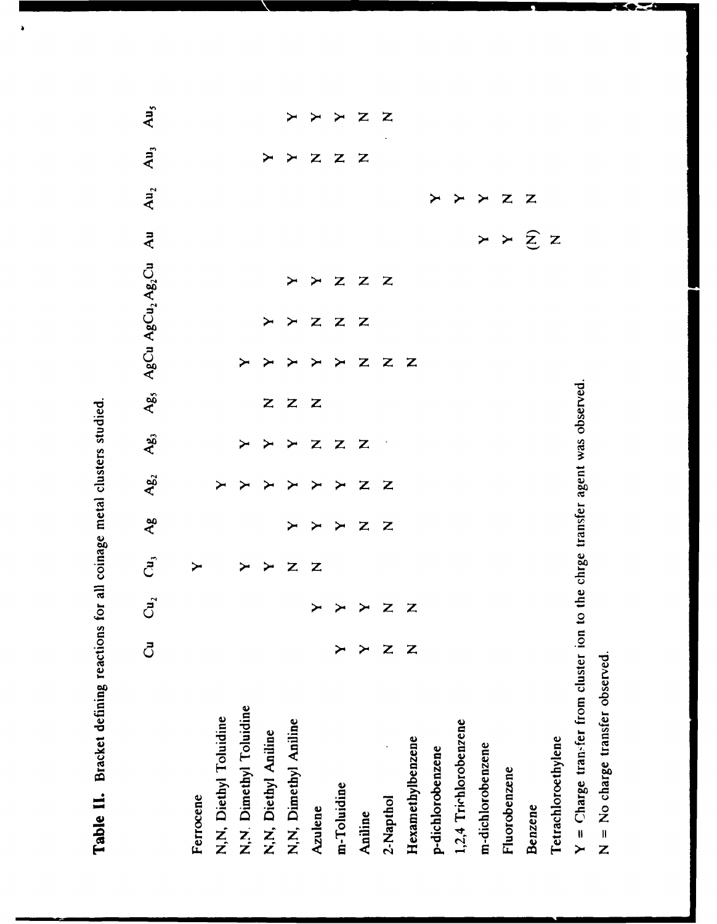Table II. Bracket defining reactions for all coinage metal clusters studied.

Au<sub>5</sub> Z  $\mathbf{A}\mathbf{u}_{j}$  $\overline{z}$  $\mathbf{z}$ Z  $\blacktriangleright$  $\blacktriangleright$  $Au_2$  $\mathbf{Z}$ Z  $\blacktriangleright$  $\blacktriangleright$ ≻ Ag, AgCu AgCu<sub>2</sub> Ag2Cu Au  $\widehat{z}$  z  $\times$   $\times$  $\overline{z}$  $\overline{z}$  $\mathbf{z}$  $\blacktriangleright$  $\blacktriangleright$  $\overline{z}$ z z  $\mathbf{z}$ Z  $\mathbb Z$  $\mathbf{Z}$ Z Ag, 00 **<sup>00</sup>**  $\blacktriangleright$ Z  $\mathbf{z}$ Ag  $\mathbf{Z}$ Z  $\blacktriangleright$ ≻  $\tilde{c}$ >- **z z** - ≻ ≻ - *4)*  $\overline{\mathbf{z}}$ Z ≻  $\blacktriangleright$ \* - **20** *4)* **0** 4j *4 4.)* '-1  $\sim$  7 **4**  $\sim$  **8 Å Õ Å ⊎** <del>4</del> <del>D</del> **-~- z6\_** d *4.)* .- - **z Z** *)* )CAzulene Benzene Aniline

**Keza**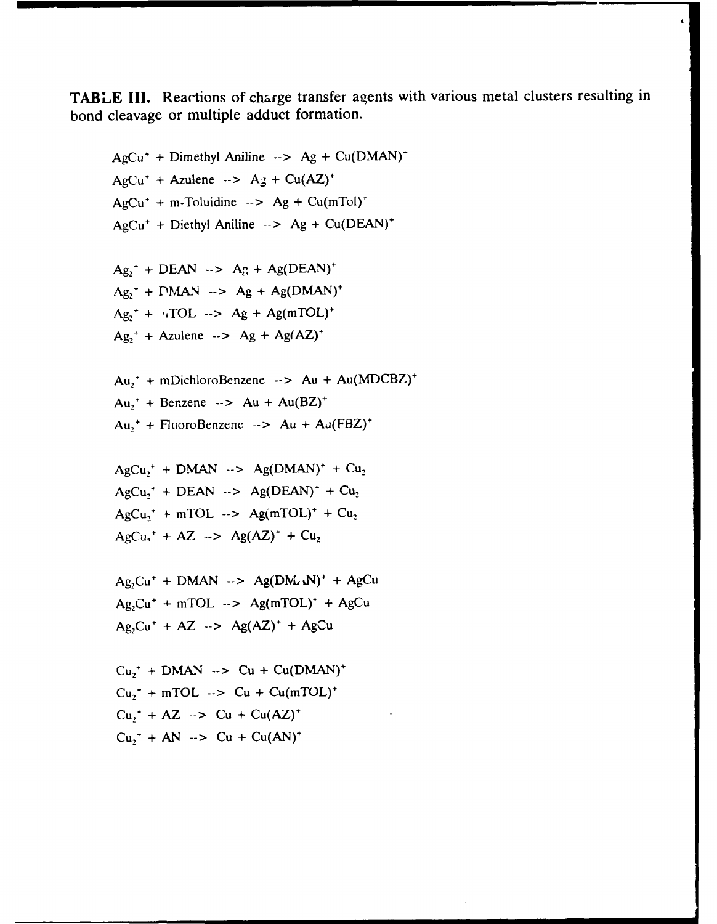**TABLE 111.** Reactions of charge transfer agents with various metal clusters resulting in bond cleavage or multiple adduct formation.

 $AgCu^{+}$  + Dimethyl Aniline  $\rightarrow$  **Ag** + Cu(DMAN)<sup>+</sup>  $AgCu^+ + Azulene \rightarrow Ag + Cu(AZ)^+$  $AgCu^{+} + m$ -Toluidine -->  $Ag + Cu(mTol)^{+}$ AgCu+ **+** Diethyl Aniline **-- > Ag +** Cu(DEAN)'  $Ag_2^+ + DEAN \rightarrow Ag_1^+ + Ag(DEAN)^+$  $Ag_2^+ + PMAN \rightarrow Ag + Ag(DMAN)^+$  $Ag_2^+ + \frac{1}{4}TOL \rightarrow Ag + Ag(mTOL)^+$  $Ag_2^+$  **+**  $Azulene$   $\rightarrow$   $Ag$  **+**  $Ag(AZ)^+$  $Au_1^+$  + mDichloroBenzene  $\rightarrow$   $Au + Au(MDCBZ)^+$ Au,+ **+** Benzene **-- >** Au **+** Au(BZ)+ Au,+ **+** FluoroBenzene **-- >** Au **+** Aj(FBZ)+  $AgCu<sub>2</sub>$ <sup>+</sup> + DMAN  $\rightarrow$  Ag(DMAN)<sup>+</sup> + Cu<sub>2</sub>  $AgCu<sub>2</sub><sup>+</sup> + DEAN$  -->  $Ag(DEAN)<sup>+</sup> + Cu<sub>2</sub>$  $AgCu^+ + mTOL \rightarrow Ag(mTOL)^+ + Cu_2$  $AgCu_2^+ + AZ \rightarrow Ag(AZ)^+ + Cu_2$  $Ag_2Cu^+ + DMAN \rightarrow Ag(DM_4N)^+ + AgCu$  $Ag_2Cu^+ + mTOL \rightarrow Ag(mTOL)^+ + AgCu$  $Ag_2Cu^+ + AZ \rightarrow Ag(AZ)^+ + AgCu$  $Cu<sub>1</sub><sup>+</sup> + DMAN \rightarrow Cu + Cu(DMAN)<sup>+</sup>$  $Cu<sub>1</sub>$ <sup>+</sup> + mTOL  $\rightarrow$  Cu + Cu(mTOL)<sup>+</sup>  $Cu,^+ + AZ \rightarrow Cu + Cu(AZ)^+$  $Cu_7^+ + AN \rightarrow Cu + Cu(AN)^+$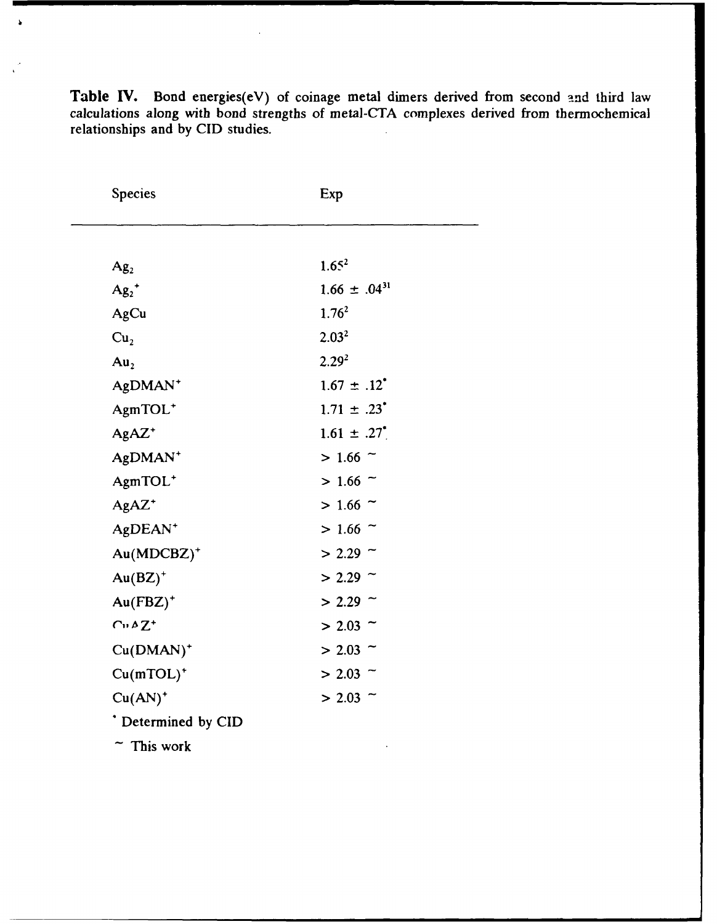| Species                | Exp                    |  |
|------------------------|------------------------|--|
|                        |                        |  |
| Ag <sub>2</sub>        | 1.65 <sup>2</sup>      |  |
| $Ag_2$ <sup>+</sup>    | $1.66 \pm .04^{31}$    |  |
| AgCu                   | $1.76^2$               |  |
| Cu <sub>2</sub>        | 2.03 <sup>2</sup>      |  |
| Au <sub>2</sub>        | $2.29^{2}$             |  |
| AgDMAN <sup>+</sup>    | $1.67 \pm .12^{4}$     |  |
| AgmTOL <sup>+</sup>    | $1.71 \pm .23$         |  |
| $AgAZ^*$               | $1.61 \pm .27^{\circ}$ |  |
| AgDMAN <sup>+</sup>    | $> 1.66$ ~             |  |
| AgmTOL <sup>+</sup>    | $> 1.66$ ~             |  |
| AgAZ <sup>+</sup>      | $> 1.66$ ~             |  |
| AgDEAN <sup>+</sup>    | $> 1.66$ ~             |  |
| Au(MDCBZ) <sup>+</sup> | $> 2.29$ ~             |  |
| $Au(BZ)^{+}$           | $> 2.29$ ~             |  |
| $Au(FBZ)^{+}$          | $> 2.29$ ~             |  |
| $C_1 \triangle Z^+$    | $> 2.03$ ~             |  |
| $Cu(DMAN)^+$           | $> 2.03$ ~             |  |
| $Cu(mTOL)^+$           | $> 2.03$ ~             |  |
| $Cu(AN)^+$             | $> 2.03$ ~             |  |
| * Determined by CID    |                        |  |
| $~\tilde{}~$ This work |                        |  |

Table **IV.** Bond energies(eV) of coinage metal dimers derived from second **and** third law calculations along with bond strengths of metal-CTA complexes derived from thermochemical relationships and **by CID** studies.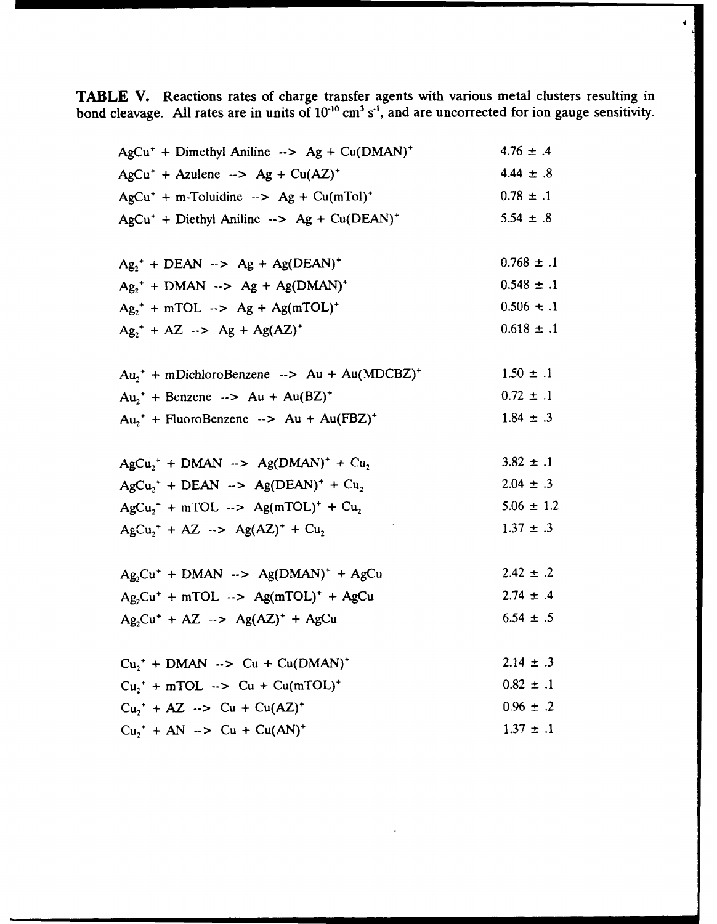**TABLE V.** Reactions rates of charge transfer agents with various metal clusters resulting in bond cleavage. **All** rates are in units of **10 ° cm3 st ,** and are uncorrected for ion gauge sensitivity.

| $AgCu^{+}$ + Dimethyl Aniline --> Ag + Cu(DMAN) <sup>+</sup>            | $4.76 \pm .4$  |
|-------------------------------------------------------------------------|----------------|
| $AgCu^{+}$ + Azulene $\rightarrow$ Ag + Cu(AZ) <sup>+</sup>             | $4.44 \pm .8$  |
| $AgCu^{+}$ + m-Toluidine --> Ag + Cu(mTol) <sup>+</sup>                 | $0.78 \pm .1$  |
| $AgCu^{+}$ + Diethyl Aniline --> Ag + Cu(DEAN) <sup>+</sup>             | $5.54 \pm .8$  |
|                                                                         |                |
| $Ag2$ <sup>+</sup> + DEAN --> Ag + Ag(DEAN) <sup>+</sup>                | $0.768 \pm .1$ |
| $Ag_2^+$ + DMAN $\rightarrow$ Ag + Ag(DMAN) <sup>+</sup>                | $0.548 \pm .1$ |
| $Ag_{2}^{+}$ + mTOL $\rightarrow$ Ag + Ag(mTOL) <sup>+</sup>            | $0.506 \pm .1$ |
| $Ag_{2}^{+} + AZ \rightarrow Ag + Ag(AZ)^{+}$                           | $0.618 \pm .1$ |
|                                                                         |                |
| $Au_2^+$ + mDichloroBenzene --> Au + Au(MDCBZ) <sup>+</sup>             | $1.50 \pm .1$  |
| $Au_2^+$ + Benzene --> Au + Au(BZ) <sup>+</sup>                         | $0.72 \pm .1$  |
| $Au_1^+$ + FluoroBenzene --> Au + Au(FBZ) <sup>+</sup>                  | $1.84 \pm .3$  |
|                                                                         |                |
| $AgCu2+ + DMAN \rightarrow Ag(DMAN)+ + Cu2$                             | $3.82 \pm .1$  |
| $AgCu1$ <sup>+</sup> + DEAN --> Ag(DEAN) <sup>+</sup> + Cu <sub>2</sub> | $2.04 \pm .3$  |
| $AgCu2+ + mTOL \rightarrow Ag(mTOL)+ + Cu2$                             | $5.06 \pm 1.2$ |
| $AgCu2+ + AZ \rightarrow Ag(AZ)+ + Cu2$                                 | $1.37 \pm .3$  |
| $Ag_2Cu^+ + DMAN \rightarrow Ag(DMAN)^+ + AgCu$                         | $2.42 \pm .2$  |
| $Ag,Cu^{+} + mTOL \rightarrow Ag(mTOL)^{+} + AgCu$                      | $2.74 \pm .4$  |
|                                                                         | $6.54 \pm .5$  |
| $Ag_2Cu^+ + AZ \rightarrow Ag(AZ)^+ + AgCu$                             |                |
| $Cu1+ + DMAN$ --> Cu + Cu(DMAN) <sup>+</sup>                            | $2.14 \pm .3$  |
| $Cu1$ + mTOL $\rightarrow$ Cu + Cu(mTOL) <sup>+</sup>                   | $0.82 \pm .1$  |
| $Cu1+ + AZ \rightarrow Cu + Cu(AZ)+$                                    | $0.96 \pm .2$  |
| $Cu_2^+ + AN \rightarrow Cu + Cu(AN)^+$                                 | $1.37 \pm .1$  |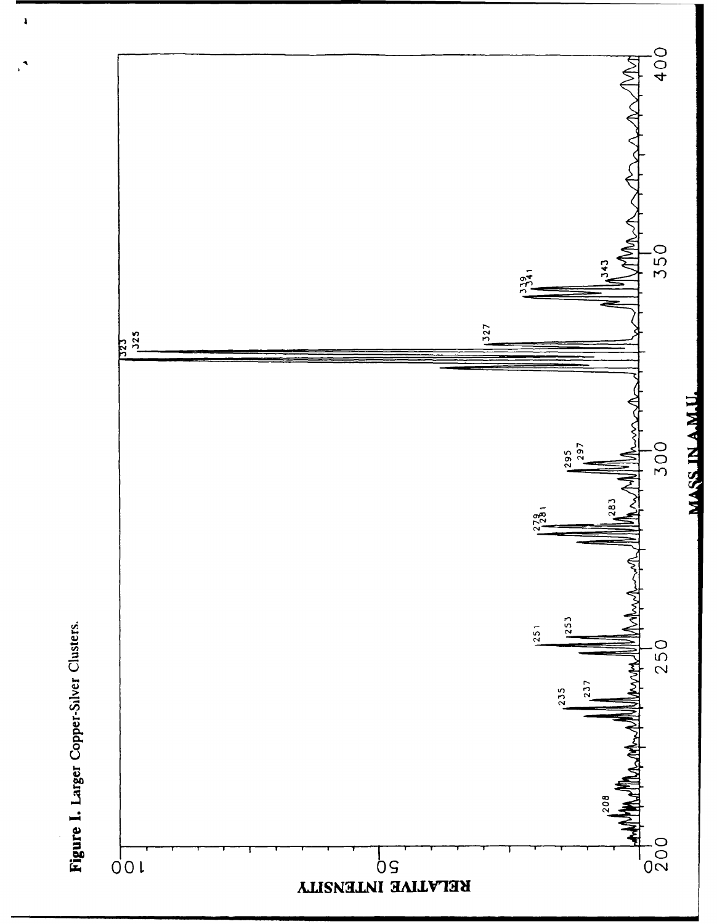

Figure 1. Larger Copper-Silver Clusters.

 $\lambda$